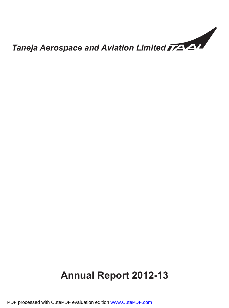

# **Annual Report 2012-13**

PDF processed with CutePDF evaluation edition [www.CutePDF.com](http://www.cutepdf.com)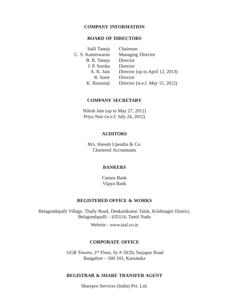### **COMPANY INFORMATION**

#### **BOARD OF DIRECTORS**

| Salil Taneja     | Chairman                          |
|------------------|-----------------------------------|
| C. S. Kameswaran | <b>Managing Director</b>          |
| B. R. Taneja     | Director                          |
| J. P. Sureka     | Director                          |
| A. K. Jain       | Director (up to April 12, 2013)   |
| R. Surie         | Director                          |
| K. Rustumji      | Director (w.e.f. May $15, 2012$ ) |
|                  |                                   |

#### **COMPANY SECRETARY**

Nilesh Jain (up to May 27, 2012) Priya Nair (w.e.f. July 24, 2012)

#### **AUDITORS**

M/s. Haresh Upendra & Co. Chartered Accountants

### **BANKERS**

Canara Bank Vijaya Bank

### **REGISTERED OFFICE & WORKS**

Belagondapalli Village, Thally Road, Denkanikottai Taluk, Krishnagiri District, Belagondapalli – 635114, Tamil Nadu

Website : www.taal.co.in

#### **CORPORATE OFFICE**

 GGR Towers, 2nd Floor, Sy # 18/2b, Sarjapur Road Bangalore – 560 103, Karnataka

### **REGISTRAR & SHARE TRANSFER AGENT**

Sharepro Services (India) Pvt. Ltd.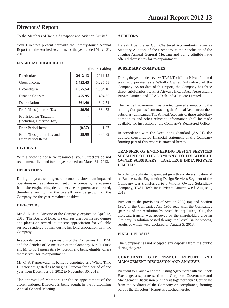## **Directors' Report**

To the Members of Taneja Aerospace and Aviation Limited

Your Directors present herewith the Twenty-fourth Annual Report and the Audited Accounts for the year ended March 31, 2013.

#### **FINANCIAL HIGHLIGHTS**

|                                                    |          | (Rs. in Lakhs) |
|----------------------------------------------------|----------|----------------|
| <b>Particulars</b>                                 | 2012-13  | $2011 - 12$    |
| Gross Income                                       | 5,422.45 | 5,225.51       |
| Expenditure                                        | 4,575.54 | 4,004.10       |
| <b>Finance Charges</b>                             | 455.95   | 494.35         |
| Depreciation                                       | 361.40   | 342.54         |
| Profit/(Loss) before Tax                           | 29.56    | 384.52         |
| Provision for Taxation<br>(including Deferred Tax) |          |                |
| Prior Period Items                                 | (0.57)   | 1.87           |
| Profit/(Loss) after Tax and<br>Prior Period Items  | 28.99    | 386.39         |

#### **DIVIDEND**

With a view to conserve resources, your Directors do not recommend dividend for the year ended on March 31, 2013.

#### **OPERATIONS**

During the year, while general economic slowdown impacted operations in the aviation segment of the Company, the revenues from the engineering design services segment accelerated, thereby ensuring that the overall revenue growth of the Company for the year remained positive.

#### **DIRECTORS**

Mr. A. K. Jain, Director of the Company, expired on April 12, 2013. The Board of Directors express grief on his sad demise and places on record its sincere appreciation for valuable services rendered by him during his long association with the Company.

In accordance with the provisions of the Companies Act, 1956 and the Articles of Association of the Company, Mr. R. Surie and Mr. B. R. Taneja retire by rotation and being eligible, offers themselves, for re-appointment.

Mr. C. S. Kameswaran is being re-appointed as a Whole Time Director designated as Managing Director for a period of one year from December 01, 2012 to November 30, 2013.

The approval of Members for the re-appointment of the aforementioned Directors is being sought in the forthcoming Annual General Meeting.

#### **AUDITORS**

Haresh Upendra & Co., Chartered Accountants retire as Statutory Auditors of the Company at the conclusion of the ensuing Annual General Meeting and being eligible have offered themselves for re-appointment.

#### **SUBSIDIARY COMPANIES**

During the year under review, TAAL Tech India Private Limited was incorporated as a Wholly Owned Subsidiary of the Company. As on date of this report, the Company has three direct subsidiaries i.e. First Airways Inc., TAAL Aerosystems Private Limited and TAAL Tech India Private Limited.

The Central Government has granted general exemption to the holding Companies from attaching the Annual Accounts of their subsidiary companies. The Annual Accounts of these subsidiary companies and other relevant information shall be made available for inspection at the Company's Registered Office.

In accordance with the Accounting Standard (AS 21), the audited consolidated financial statement of the Company forming part of this report is attached hereto.

#### **TRANSFER OF ENGINEERING DESIGN SERVICES SEGMENT OF THE COMPANY TO ITS WHOLLY OWNED SUBSIDIARY – TAAL TECH INDIA PRIVATE LIMITED**

In order to facilitate independent growth and diversification of its Business, the Engineering Design Services Segment of the Company was transferred to a Wholly Owned Subsidiary Company, TAAL Tech India Private Limited w.e.f. August 1, 2013.

Pursuant to the provisions of Section 293(1)(a) and Section 192A of the Companies Act, 1956 read with the Companies (passing of the resolution by postal ballot) Rules, 2011, the aforesaid transfer was approved by the shareholders vide an Ordinary Resolution passed through the Postal Ballot process, results of which were declared on August 5, 2013.

#### **FIXED DEPOSITS**

The Company has not accepted any deposits from the public during the year.

#### **CORPORATE GOVERNANCE REPORT AND MANAGEMENT DISCUSSION AND ANALYSIS**

Pursuant to Clause 49 of the Listing Agreement with the Stock Exchange, a separate section on Corporate Governance and Management Discussion & Analysis together with a Certificate from the Auditors of the Company on compliance, forming part of the Directors' Report is attached hereto.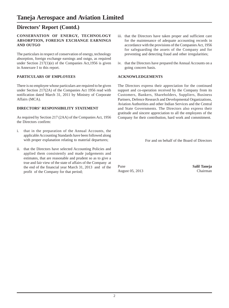## **Directors' Report (Contd.)**

#### **CONSERVATION OF ENERGY, TECHNOLOGY ABSORPTION, FOREIGN EXCHANGE EARNINGS AND OUTGO**

The particulars in respect of conservation of energy, technology absorption, foreign exchange earnings and outgo, as required under Section 217(1)(e) of the Companies Act,1956 is given in Annexure I to this report.

#### **PARTICULARS OF EMPLOYEES**

There is no employee whose particulars are required to be given under Section 217(2A) of the Companies Act 1956 read with notification dated March 31, 2011 by Ministry of Corporate Affairs (MCA).

#### **DIRECTORS' RESPONSIBILITY STATEMENT**

As required by Section 217 (2AA) of the Companies Act, 1956 the Directors confirm:

- i. that in the preparation of the Annual Accounts, the applicable Accounting Standards have been followed along with proper explanation relating to material departures;
- ii. that the Directors have selected Accounting Policies and applied them consistently and made judgements and estimates, that are reasonable and prudent so as to give a true and fair view of the state of affairs of the Company at the end of the financial year March 31, 2013 and of the profit of the Company for that period;
- iii. that the Directors have taken proper and sufficient care for the maintenance of adequate accounting records in accordance with the provisions of the Companies Act, 1956 for safeguarding the assets of the Company and for preventing and detecting fraud and other irregularities;
- iv. that the Directors have prepared the Annual Accounts on a going concern basis.

#### **ACKNOWLEDGEMENTS**

The Directors express their appreciation for the continued support and co-operation received by the Company from its Customers, Bankers, Shareholders, Suppliers, Business Partners, Defence Research and Developmental Organizations, Aviation Authorities and other Indian Services and the Central and State Governments. The Directors also express their gratitude and sincere appreciation to all the employees of the Company for their contribution, hard work and commitment.

For and on behalf of the Board of Directors

Pune **Salil Taneja** August 05, 2013 Chairman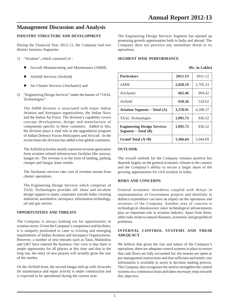## **Management Discussion and Analysis**

#### **INDUSTRY STRUCTURE AND DEVELOPMENT**

During the Financial Year 2012-13, the Company had two distinct business Segments:

- 1) "Aviation", which consisted of :
	- $\bullet$  Aircraft Manufacturing and Maintenance (AMM)
	- $\bullet$ Airfield Services (Airfield)
	- Air Charter Services (Aircharter) and
- 2) "Engineering Design Services" under the banner of "TAAL Technologies".

The AMM division is associated with major Indian Aviation and Aerospace organizations, the Indian Navy and the Indian Air Force. The division's capability covers concept development, design and manufacture of components specific to these customers. Added to this, the division plays a vital role in the upgradation program of Indian Defence Forces Helicopters and Aircraft. In the recent times the division has added a few global customers.

The Airfield activities mainly represent revenue generation from aviation related infrastructure facilities like runway, hangar etc. The revenue is in the form of landing, parking charges and hangar lease rentals.

The Aircharter services take care of revenue stream from charter operations.

The Engineering Design Services which comprises of TAAL Technologies provides off- shore and on-shore design support to many corporates outside India covering industrial, automotive, aerospace, information technology, oil and gas sectors.

#### **OPPORTUNITIES AND THREATS**

The Company is always looking out for opportunities in aviation sector. Given the Company's competence and facilities, it is uniquely positioned to cater to existing and emerging requirements of Indian Aviation and Aerospace Organizations. However, a number of new entrants such as Tatas, Mahindras and L&T have entered the business. Our view is that there is ample opportunity for all players at this time and that in the long run, the entry of new players will actually grow the size of the market.

On the Airfield front, the second hangar tied up with Airworks for maintenance and repair activity is under construction and is expected to be operational during the current year.

The Engineering Design Services Segment has opened up promising growth opportunities both in India and abroad. The Company does not perceive any immediate threat to its operations.

#### **SEGMENT WISE PERFORMANCE**

|  | (Rs. in Lakhs) |
|--|----------------|
|  |                |

| <b>Particulars</b>                                          | 2012-13  | 2011-12  |
|-------------------------------------------------------------|----------|----------|
| <b>AMM</b>                                                  | 2,058.19 | 2,795.33 |
| Aircharter                                                  | 662.46   | 894.42   |
| Airfield                                                    | 650.26   | 518.62   |
| Aviation Segment – Total (A)                                | 3,370.91 | 4,208.37 |
| <b>TAAL</b> Technologies                                    | 1,995.73 | 836.52   |
| <b>Engineering Design Services</b><br>Segment – Total $(B)$ | 1,995.73 | 836.52   |
| Grand Total $(A+B)$                                         | 5,366.64 | 5,044.89 |

#### **OUTLOOK**

The overall outlook for the Company remains positive but depends largely on the general economic climate in the country and the Company's ability to secure a larger share of the growing opportunities for civil aviation in India.

#### **RISKS AND CONCERNS**

General economic slowdown coupled with delays in implementation of Government projects and shortfalls in defence expenditure can have an impact on the operations and revenues of the Company. Another area of concern is technological obsolescence since technological advancements play an important role in aviation industry. Apart from these, other risks relate to natural disasters, economic and geopolitical problems.

#### **INTERNAL CONTROL SYSTEMS AND THEIR ADEQUACY**

We believe that given the size and nature of the Company's operations, there are adequate control systems in place to ensure that cash flows are fully accounted for, the monies are spent as per management instructions and that sufficient and timely cost information is available to assist in decision making process. The Company also recognizes the need to strengthen the control systems on a continuous basis and takes necessary steps towards this objective.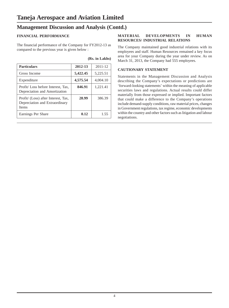## **Management Discussion and Analysis (Contd.)**

### **FINANCIAL PERFORMANCE**

The financial performance of the Company for FY2012-13 as compared to the previous year is given below :

| <b>Particulars</b>                                                                    | 2012-13  | 2011-12  |
|---------------------------------------------------------------------------------------|----------|----------|
| Gross Income                                                                          | 5,422.45 | 5,225.51 |
| Expenditure                                                                           | 4,575.54 | 4,004.10 |
| Profit/Loss before Interest, Tax.<br>Depreciation and Amortization                    | 846.91   | 1,221.41 |
| Profit/ (Loss) after Interest, Tax,<br>Depreciation and Extraordinary<br><b>Items</b> | 28.99    | 386.39   |
| Earnings Per Share                                                                    | 0.12     | 1.55     |

#### **(Rs. in Lakhs)**

#### **MATERIAL DEVELOPMENTS IN HUMAN RESOURCES/ INDUSTRIAL RELATIONS**

The Company maintained good industrial relations with its employees and staff. Human Resources remained a key focus area for your Company during the year under review. As on March 31, 2013, the Company had 555 employees.

#### **CAUTIONARY STATEMENT**

Statements in the Management Discussion and Analysis describing the Company's expectations or predictions are 'forward-looking statements' within the meaning of applicable securities laws and regulations. Actual results could differ materially from those expressed or implied. Important factors that could make a difference to the Company's operations include demand-supply conditions, raw material prices, changes in Government regulations, tax regime, economic developments within the country and other factors such as litigation and labour negotiations.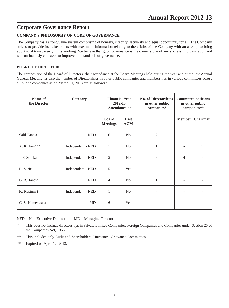## **Corporate Governance Report**

#### **COMPANY'S PHILOSOPHY ON CODE OF GOVERNANCE**

The Company has a strong value system comprising of honesty, integrity, secularity and equal opportunity for all. The Company strives to provide its stakeholders with maximum information relating to the affairs of the Company with an attempt to bring about total transparency in its working. We believe that good governance is the corner stone of any successful organization and we continuously endeavor to improve our standards of governance.

#### **BOARD OF DIRECTORS**

The composition of the Board of Directors, their attendance at the Board Meetings held during the year and at the last Annual General Meeting, as also the number of Directorships in other public companies and memberships in various committees across all public companies as on March 31, 2013 are as follows :

| Name of<br>the Director | Category          | <b>Financial Year</b><br>2012-13<br><b>Attendance at</b> |                    | No. of Directorships<br>in other public<br>companies* |                          | <b>Committee positions</b><br>in other public<br>companies** |
|-------------------------|-------------------|----------------------------------------------------------|--------------------|-------------------------------------------------------|--------------------------|--------------------------------------------------------------|
|                         |                   | <b>Board</b><br><b>Meetings</b>                          | Last<br><b>AGM</b> |                                                       | <b>Member</b>            | Chairman                                                     |
| Salil Taneja            | <b>NED</b>        | 6                                                        | No                 | 2                                                     | 1                        | $\mathbf{1}$                                                 |
| A. K. Jain***           | Independent - NED | 1                                                        | N <sub>0</sub>     | $\mathbf{1}$                                          | $\overline{\phantom{0}}$ | 1                                                            |
| J. P. Sureka            | Independent - NED | 5                                                        | N <sub>o</sub>     | 3                                                     | 4                        |                                                              |
| R. Surie                | Independent - NED | 5                                                        | Yes                | $\overline{\phantom{a}}$                              |                          |                                                              |
| B. R. Taneja            | <b>NED</b>        | $\overline{4}$                                           | N <sub>0</sub>     | $\mathbf{1}$                                          |                          |                                                              |
| K. Rustumji             | Independent - NED | $\mathbf{1}$                                             | No                 | $\overline{\phantom{a}}$                              | $\overline{\phantom{a}}$ |                                                              |
| C. S. Kameswaran        | <b>MD</b>         | 6                                                        | Yes                | $\overline{\phantom{a}}$                              | -                        |                                                              |

NED – Non-Executive Director MD – Managing Director

\* This does not include directorships in Private Limited Companies, Foreign Companies and Companies under Section 25 of the Companies Act, 1956.

\*\* This includes only Audit and Shareholders'/ Investors' Grievance Committees.

\*\*\* Expired on April 12, 2013.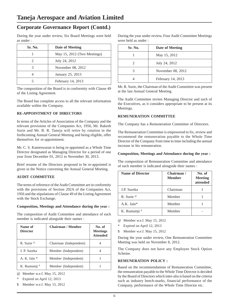During the year under review, Six Board Meetings were held as under :

| Sr. No. | Date of Meeting             |  |
|---------|-----------------------------|--|
|         | May 15, 2012 (Two Meetings) |  |
|         | July 24, 2012               |  |
|         | November 08, 2012           |  |
|         | January 25, 2013            |  |
|         | February 14, 2013           |  |

The composition of the Board is in conformity with Clause 49 of the Listing Agreement.

The Board has complete access to all the relevant information available within the Company.

#### **RE-APPOINTMENT OF DIRECTORS**

In terms of the Articles of Association of the Company and the relevant provisions of the Companies Act, 1956, Mr. Rakesh Surie and Mr. B. R. Taneja will retire by rotation in the forthcoming Annual General Meeting and being eligible, offer themselves for re-appointment.

Mr. C. S. Kameswaran is being re-appointed as a Whole Time Director designated as Managing Director for a period of one year from December 01, 2012 to November 30, 2013.

Brief resume of the Directors proposed to be re-appointed is given in the Notice convening the Annual General Meeting.

#### **AUDIT COMMITTEE**

The terms of reference of the Audit Committee are in conformity with the provisions of Section 292A of the Companies Act, 1956 and the stipulations of Clause 49 of the Listing Agreement with the Stock Exchange.

#### **Composition, Meetings and Attendance during the year :**

The composition of Audit Committee and attendance of each member is indicated alongside their names :

| Name of<br><b>Director</b> | <b>Chairman / Member</b> | No. of<br><b>Meetings</b><br><b>Attended</b> |
|----------------------------|--------------------------|----------------------------------------------|
| R. Surie $^\circ$          | Chairman (Independent)   |                                              |
| J. P. Sureka               | Member (Independent)     |                                              |
| $A$ . K. Jain $*$          | Member (Independent)     |                                              |
| K. Rustumji <sup>s</sup>   | Member (Independent)     |                                              |

@ Member w.e.f. May 15, 2012

- Expired on April 12, 2013
- \$ Member w.e.f. May 15, 2012

During the year under review, Four Audit Committee Meetings were held as under :

| Sr. No. | Date of Meeting   |
|---------|-------------------|
|         | May 15, 2012      |
|         | July 24, 2012     |
|         | November 08, 2012 |
|         | February 14, 2013 |

Mr. R. Surie, the Chairman of the Audit Committee was present at the last Annual General Meeting.

The Audit Committee invites Managing Director and such of the Executives, as it considers appropriate to be present at its Meetings.

#### **REMUNERATION COMMITTEE**

The Company has a Remuneration Committee of Directors.

The Remuneration Committee is empowered to fix, review and recommend the remuneration payable to the Whole Time Director of the Company from time to time including the annual increase in his remuneration.

#### **Composition, Meetings and Attendance during the year :**

The composition of Remuneration Committee and attendance of each member is indicated alongside their names :

| <b>Name of Director</b>  | Chairman /<br><b>Member</b> | No. of<br>Meeting<br>attended |
|--------------------------|-----------------------------|-------------------------------|
| J.P. Sureka              | Chairman                    |                               |
| R. Surie $^\circ$        | Member                      |                               |
| $A.K.$ Jain*             | Member                      |                               |
| K. Rustumji <sup>s</sup> | Member                      |                               |

- @ Member w.e.f. May 15, 2012
- \* Expired on April 12, 2013
- \$ Member w.e.f. May 15, 2012

During the year under review, One Remuneration Committee Meeting was held on November 8, 2012.

The Company does not have any Employee Stock Option Scheme.

#### **REMUNERATION POLICY :**

Based on the recommendations of Remuneration Committee, the remuneration payable to the Whole Time Director is decided by the Board of Directors which inter-alia is based on the criteria such as industry bench-marks, financial performance of the Company, performance of the Whole Time Director etc.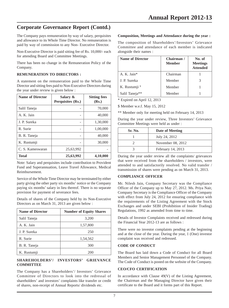The Company pays remuneration by way of salary, perquisites and allowance to its Whole Time Director. No remuneration is paid by way of commission to any Non- Executive Director.

Non-Executive Director is paid sitting fee of Rs. 10,000/- each for attending Board and Committee Meetings.

There has been no change in the Remuneration Policy of the Company.

#### **REMUNERATION TO DIRECTORS :**

A statement on the remuneration paid to the Whole Time Director and sitting fees paid to Non-Executive Directors during the year under review is given below :

| <b>Name of Director</b> | Salary &<br>Perquisites (Rs.) | <b>Sitting fees</b><br>(Rs.) |
|-------------------------|-------------------------------|------------------------------|
| Salil Taneja            |                               | 70,000                       |
| A. K. Jain              |                               | 40,000                       |
| J. P. Sureka            |                               | 1,30,000                     |
| R. Surie                |                               | 1,00,000                     |
| B. R. Taneja            |                               | 40,000                       |
| K. Rustumji             |                               | 30,000                       |
| C. S. Kameswaran        | 25,63,992                     |                              |
| <b>Total</b>            | 25,63,992                     | 4,10,000                     |

Note: Salary and perquisites include contribution to Provident Fund and Superannuation, Leave Travel Allowance, Medical Reimbursement.

Service of the Whole Time Director may be terminated by either party giving the other party six months' notice or the Company paying six months' salary in lieu thereof. There is no separate provision for payment of severance fees.

Details of shares of the Company held by its Non-Executive Directors as on March 31, 2013 are given below :

| <b>Name of Director</b> | <b>Number of Equity Shares</b> |
|-------------------------|--------------------------------|
| Salil Taneja            | 3,200                          |
| A. K. Jain              | 1,57,800                       |
| J. P. Sureka            | 250                            |
| R. Surie                | 1,54,562                       |
| B. R. Taneja            | 300                            |
| K. Rustumji             |                                |

#### **SHAREHOLDERS'/ INVESTORS' GRIEVANCE COMMITTEE**

The Company has a Shareholders'/ Investors' Grievance Committee of Directors to look into the redressal of shareholders' and investors' complaints like transfer or credit of shares, non-receipt of Annual Reports/ dividends etc.

#### **Composition, Meetings and Attendance during the year :**

The composition of Shareholders'/Investors' Grievance Committee and attendance of each member is indicated alongside their names :

| <b>Name of Director</b>   | Chairman /<br><b>Member</b> | No. of<br><b>Meetings</b><br><b>Attended</b> |
|---------------------------|-----------------------------|----------------------------------------------|
| $A$ . K. Jain*            | Chairman                    |                                              |
| J. P. Sureka              | Member                      | 3                                            |
| K. Rustumji <sup>\$</sup> | Member                      |                                              |
| Salil Taneja**            | Member                      |                                              |

\* Expired on April 12, 2013

\$ Member w.e.f. May 15, 2012

\*\* Member only for meeting held on February 14, 2013

During the year under review, Three Investors' Grievance Committee Meetings were held as under :

| Sr. No. | Date of Meeting   |  |
|---------|-------------------|--|
|         | July 24, 2012     |  |
|         | November 08, 2012 |  |
|         | February 14, 2013 |  |

During the year under review all the complaints/ grievances that were received from the shareholders / investors, were attended to and satisfactorily resolved. No valid transfer / transmission of shares were pending as on March 31, 2013.

#### **COMPLIANCE OFFICER**

Mr. Nilesh Jain, Company Secretary was the Compliance Officer of the Company up to May 27, 2012. Ms. Priya Nair, Company Secretary is the Compliance Officer of the Company with effect from July 24, 2012 for ensuring compliance with the requirements of the Listing Agreement with the Stock Exchanges and under SEBI (Prohibition of Insider Trading) Regulations, 1992 as amended from time to time.

Details of Investor Complaints received and redressed during the Financial Year 2012-13 are as follows :

There were no investor complaints pending at the beginning and at the close of the year. During the year, 1 (One) investor complaint was received and redressed.

#### **CODE OF CONDUCT**

The Board has laid down a Code of Conduct for all Board Members and Senior Management Personnel of the Company. The Code of Conduct is posted on the website of the Company.

#### **CEO/CFO CERTIFICATION**

In accordance with Clause 49(V) of the Listing Agreement, the Chairman and the Managing Director have given their certificate to the Board and it forms part of this Report.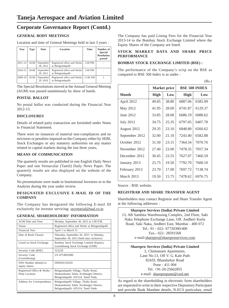### **GENERAL BODY MEETINGS**

Location and time of General Meetings held in last 3 years :

| Year    | Type | <b>Date</b>           | Location                                         | <b>Time</b> | Number of<br><b>Special</b><br><b>Resolution</b><br>passed |
|---------|------|-----------------------|--------------------------------------------------|-------------|------------------------------------------------------------|
| 2011-12 | AGM  | September<br>28, 2012 | Registered office and Works<br>at Belagondapalli | 2.00 PM     |                                                            |
| 2010-11 | AGM  | September<br>29.2011  | Registered office and Works<br>at Belagondapalli | 2.00 PM     |                                                            |
| 2009-10 | AGM  | September<br>29, 2010 | Registered office and Works<br>at Belagondapalli | 11.00 AM    |                                                            |

The Special Resolutions moved at the Annual General Meeting (AGM) was passed unanimously by show of hands.

#### **POSTAL BALLOT**

No postal ballot was conducted during the Financial Year 2012-13.

#### **DISCLOSURES**

Details of related party transaction are furnished under Notes to Financial Statement.

There were no instances of material non-compliances and no strictures or penalties imposed on the Company either by SEBI, Stock Exchanges or any statutory authorities on any matter related to capital markets during the last three years**.**

#### **MEANS OF COMMUNICATION**

The quarterly results are published in one English Daily News Paper and one Vernacular (Tamil) Daily News Paper. The quarterly results are also displayed on the website of the Company.

No presentations were made to Institutional Investors or to the Analysts during the year under review.

#### **DESIGNATED EXCLUSIVE E-MAIL ID OF THE COMPANY**

The Company has designated the following E-mail ID exclusively for investor servicing: secretarial@taal.co.in

#### **GENERAL SHAREHOLDERS' INFORMATION**

| <b>AGM</b> Date and Time                      | Monday, September 30, 2013 at 2.00 P.M.                                                                                  |
|-----------------------------------------------|--------------------------------------------------------------------------------------------------------------------------|
| Venue                                         | Registered office and Works at Belagondapalli                                                                            |
| Financial Year                                | April 1 to March 31                                                                                                      |
| Date of Book Closure                          | Thursday, September 26, 2013 to Monday,<br>September 30, 2013 (both days inclusive)                                      |
| Listed on Stock Exchange                      | Bombay Stock Exchange Limited (Equity),<br>Luxembourg Stock Exchange (GDR)                                               |
| Security Code (BSE)                           | 522229                                                                                                                   |
| Security Code<br>(Luxembourg)                 | US 8753891089                                                                                                            |
| ISIN Number allotted to<br>equity shares      | INE692C01020                                                                                                             |
| Registered Office & Works /<br>Plant Location | Belagondapalli Village, Thally Road,<br>Denkanikottai Taluk, Krishnagiri District,<br>Belagondapalli- 635114, Tamil Nadu |
| Address for Correspondence                    | Belagondapalli Village, Thally Road,<br>Denkanikottai Taluk, Krishnagiri District,<br>Belagondapalli- 635114, Tamil Nadu |

The Company has paid Listing Fees for the Financial Year 2013-14 to the Bombay Stock Exchange Limited where the Equity Shares of the Company are listed.

#### **STOCK MARKET DATA AND SHARE PRICE PERFORMANCE**

#### **BOMBAY STOCK EXCHANGE LIMITED (BSE) :**

The performance of the Company's scrip on the BSE as compared to BSE 500 Index is as under :

|                  |                     |       |             | (Rs.)                |  |
|------------------|---------------------|-------|-------------|----------------------|--|
|                  | <b>Market price</b> |       |             | <b>BSE 500 INDEX</b> |  |
| <b>Month</b>     | <b>High</b>         | Low   | <b>High</b> | Low                  |  |
| April 2012       | 49.85               | 38.80 | 6887.06     | 6585.99              |  |
| May 2012         | 41.95               | 28.00 | 6741.87     | 6129.37              |  |
| June 2012        | 33.85               | 28.00 | 6686.19     | 6088.62              |  |
| <b>July 2012</b> | 34.75               | 25.35 | 6797.05     | 6407.78              |  |
| August 2012      | 29.35               | 23.10 | 6848.80     | 6560.62              |  |
| September 2012   | 32.00               | 21.10 | 7243.40     | 6582.88              |  |
| October 2012     | 31.50               | 23.15 | 7364.54     | 7070.76              |  |
| November 2012    | 27.40               | 23.00 | 7478.35     | 7057.34              |  |
| December 2012    | 30.45               | 23.55 | 7627.07     | 7460.59              |  |
| January 2013     | 25.75               | 19.50 | 7792.70     | 7600.10              |  |
| February 2013    | 23.70               | 17.00 | 7697.72     | 7138.74              |  |
| March 2013       | 19.50               | 15.75 | 7478.62     | 6976.75              |  |

Source : BSE website.

#### **REGISTRAR AND SHARE TRANSFER AGENT**

Shareholders may contact Registrar and Share Transfer Agent at the following addresses :

| <b>Sharepro Services (India) Private Limited</b>    |
|-----------------------------------------------------|
| 13, AB Samhita Warehousing Complex, 2nd Floor, Saki |
| Naka Telephone Exchange Lane, Off. Andheri Kurla    |
| Road, Saki Naka, Andheri East, Mumbai - 400 072     |
| Tel.: 91 - 022- 67720300/400                        |
| Fax. - 022 - 28591568                               |
| e-mail:sharepro@shareproservices.com                |
| Sharenro Services (India) Private Limited           |

**Sharepro Services (India) Private Limited** 3, Chintamani Apartments, Lane No.13, Off V. G. Kale Path 824/D, Bhandarkar Road Pune - 411 004 Tel. +91-20-25662855 e-mail: sharepropune@vsnl.net

As regard to the shareholding in electronic form shareholders are requested to write to their respective Depository Participant and provide Bank Mandate details, N-ECS particulars, email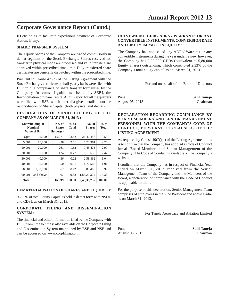ID etc. so as to facilitate expeditious payment of Corporate Action, if any.

#### **SHARE TRANSFER SYSTEM**

The Equity Shares of the Company are traded compulsorily in demat segment on the Stock Exchange. Shares received for transfer in physical mode are processed and valid transfers are approved within prescribed time limit. Duly transferred share certificates are generally dispatched within the prescribed time.

Pursuant to Clause 47 (c) of the Listing Agreement with the Stock Exchange, certificate on half yearly basis were filed with BSE in due compliance of share transfer formalities by the Company. In terms of guidelines issued by SEBI, the Reconciliation of Share Capital Audit Report for all the quarters were filed with BSE, which inter-alia gives details about the reconciliation of Share Capital (both physical and demat).

#### **DISTRIBUTION OF SHAREHOLDING OF THE COMPANY AS ON MARCH 31, 2013 :**

|              | Shareholding of<br><b>Nominal</b><br>Value of Rs. | No. of<br><b>Share</b><br>Holder(s) | $%$ to<br><b>Total</b> | No. of<br><b>Shares</b> | $%$ to<br><b>Total</b> |
|--------------|---------------------------------------------------|-------------------------------------|------------------------|-------------------------|------------------------|
| Upto         | 5,000                                             | 15,071                              | 93.62                  | 26,40,456               | 10.59                  |
| 5,001        | 10,000                                            | 428                                 | 2.66                   | 6,73,961                | 2.70                   |
| 10,001       | 20,000                                            | 261                                 | 1.62                   | 7,45,475                | 2.99                   |
| 20,001       | 30,000                                            | 124                                 | 0.77                   | 6,16,630                | 2.47                   |
| 30,001       | 40,000                                            | 36                                  | 0.22                   | 2,58,862                | 1.04                   |
| 40,001       | 50,000                                            | 50                                  | 0.31                   | 4,76,562                | 1.91                   |
| 50,001       | 1.00.000                                          | 67                                  | 0.42                   | 9,89,485                | 3.97                   |
| 1,00,001     | and above                                         | 62                                  | 0.38                   | 1,85,29,305             | 74.33                  |
| <b>Total</b> |                                                   | 16,099                              | 100.00                 | 2,49,30,736             | 100.00                 |

#### **DEMATERIALISATION OF SHARES AND LIQUIDITY**

95.95% of total Equity Capital is held in demat form with NSDL and CDSL as on March 31, 2013.

#### **CORPORATE FILING AND DISSEMINATION SYSTEM:**

The financial and other information filed by the Company with BSE, from time to time is also available on the Corporate Filing and Dissemination System maintained by BSE and NSE and can be accessed on www.corpfiling.co.in.

#### **OUTSTANDING GDRS/ ADRS / WARRANTS OR ANY CONVERTIBLE INSTRUMENTS, CONVERSION DATE AND LIKELY IMPACT ON EQUITY :**

The Company has not issued any ADRs/ Warrants or any convertible instruments during the year under review, however, the Company has 2,90,000 GDRs (equivalent to 5,80,000 Equity Shares) outstanding, which constituted 2.33% of the Company's total equity capital as on March 31, 2013.

For and on behalf of the Board of Directors

| Pune            | <b>Salil Taneja</b> |
|-----------------|---------------------|
| August 05, 2013 | Chairman            |

#### **DECLARATION REGARDING COMPLIANCE BY BOARD MEMBERS AND SENIOR MANAGEMENT PERSONNEL WITH THE COMPANY'S CODE OF CONDUCT, PURSUANT TO CLAUSE 49 OF THE LISTING AGREEMENT**

As required by Clause 49(D)(ii) of the Listing Agreement, this is to confirm that the Company has adopted a Code of Conduct for all Board Members and Senior Management of the Company. The Code of Conduct is available on the Company's website.

I confirm that the Company has in respect of Financial Year ended on March 31, 2013, received from the Senior Management Team of the Company and the Members of the Board, a declaration of compliance with the Code of Conduct as applicable to them.

For the purpose of this declaration, Senior Management Team comprises of employees in the Vice President and above Cadre as on March 31, 2013.

For Taneja Aerospace and Aviation Limited

August 05, 2013 Chairman

Pune **Salil Taneja**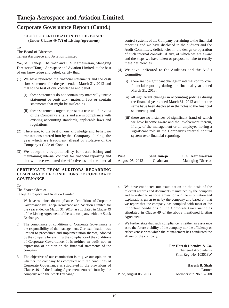#### **CEO/CFO CERTIFICATION TO THE BOARD (Under Clause 49 (V) of Listing Agreement)**

To

The Board of Directors Taneja Aerospace and Aviation Limited

We, Salil Taneja, Chairman and C. S. Kameswaran, Managing Director of Taneja Aerospace and Aviation Limited, to the best of our knowledge and belief, certify that:

- (1) We have reviewed the financial statements and the cash flow statement for the year ended March 31, 2013 and that to the best of our knowledge and belief :
	- (i) these statements do not contain any materially untrue statement or omit any material fact or contain statements that might be misleading ;
	- (ii) these statements together present a true and fair view of the Company's affairs and are in compliance with existing accounting standards, applicable laws and regulations.
- (2) There are, to the best of our knowledge and belief, no transactions entered into by the Company during the year which are fraudulent, illegal or violative of the Company's Code of Conduct.
- (3) We accept the responsibility for establishing and maintaining internal controls for financial reporting and that we have evaluated the effectiveness of the internal

#### **CERTIFICATE FROM AUDITORS REGARDING COMPLIANCE OF CONDITIONS OF CORPORATE GOVERNANCE**

#### To

The Shareholders of Taneja Aerospace and Aviation Limited

- 1. We have examined the compliance of conditions of Corporate Governance by Taneja Aerospace and Aviation Limited for the year ended on March 31, 2013, as stipulated in Clause 49 of the Listing Agreement of the said company with the Stock Exchange.
- 2. The compliance of conditions of Corporate Governance is the responsibility of the management. Our examination was limited to procedures and implementation thereof, adopted by the company for ensuring the compliance of the conditions of Corporate Governance. It is neither an audit nor an expression of opinion on the financial statements of the company.
- 3. The objective of our examination is to give our opinion on whether the company has complied with the conditions of Corporate Governance as stipulated in the provisions of Clause 49 of the Listing Agreement entered into by the company with the Stock Exchange.

control systems of the Company pertaining to the financial reporting and we have disclosed to the auditors and the Audit Committee, deficiencies in the design or operation of such internal controls, if any, of which we are aware and the steps we have taken or propose to take to rectify these deficiencies.

- (4) We have indicated to the Auditors and the Audit Committee:
	- (i) there are no significant changes in internal control over financial reporting during the financial year ended March 31, 2013;
	- (ii) all significant changes in accounting policies during the financial year ended March 31, 2013 and that the same have been disclosed in the notes to the financial statements; and
	- (iii) there are no instances of significant fraud of which we have become aware and the involvement therein, if any, of the management or an employee having a significant role in the Company's internal control system over financial reporting.

| Pune            | <b>Salil Taneja</b> | C. S. Kameswaran  |
|-----------------|---------------------|-------------------|
| August 05, 2013 | Chairman            | Managing Director |

- 4. We have conducted our examination on the basis of the relevant records and documents maintained by the company and furnished to us for examination and the information and explanations given to us by the company and based on that we report that the company has complied with most of the important conditions of the Corporate Governance as stipulated in Clause 49 of the above mentioned Listing Agreement.
- 5. We further state that such compliance is neither an assurance as to the future viability of the company nor the efficiency or effectiveness with which the Management has conducted the affairs of the company.

**For Haresh Upendra & Co.** Chartered Accountants Firm Reg. No. 103513W

**Haresh B. Shah** Partner Pune, August 05, 2013 Membership No.: 32208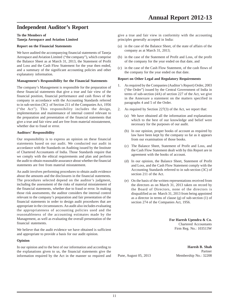## **Independent Auditor's Report**

#### **To the Members of Taneja Aerospace and Aviation Limited**

#### **Report on the Financial Statements**

We have audited the accompanying financial statements of Taneja Aerospace and Aviation Limited ("the company"), which comprise the Balance Sheet as at March 31, 2013, the Statement of Profit and Loss and the Cash Flow Statement for the year then ended, and a summary of the significant accounting policies and other explanatory information.

#### **Management's Responsibility for the Financial Statements**

The company's Management is responsible for the preparation of these financial statements that give a true and fair view of the financial position, financial performance and cash flows of the company in accordance with the Accounting Standards referred to in sub-section (3C) of Section 211 of the Companies Act, 1956 ("the Act"). This responsibility includes the design, implementation and maintenance of internal control relevant to the preparation and presentation of the financial statements that give a true and fair view and are free from material misstatement, whether due to fraud or error.

#### **Auditors' Responsibility**

Our responsibility is to express an opinion on these financial statements based on our audit. We conducted our audit in accordance with the Standards on Auditing issued by the Institute of Chartered Accountants of India. Those Standards require that we comply with the ethical requirements and plan and perform the audit to obtain reasonable assurance about whether the financial statements are free from material misstatement.

An audit involves performing procedures to obtain audit evidence about the amounts and the disclosures in the financial statements. The procedures selected depend on the auditor's judgment, including the assessment of the risks of material misstatement of the financial statements, whether due to fraud or error. In making those risk assessments, the auditor considers the internal control relevant to the company's preparation and fair presentation of the financial statements in order to design audit procedures that are appropriate in the circumstances. An audit also includes evaluating the appropriateness of accounting policies used and the reasonableness of the accounting estimates made by the Management, as well as evaluating the overall presentation of the financial statements.

We believe that the audit evidence we have obtained is sufficient and appropriate to provide a basis for our audit opinion.

#### **Opinion**

In our opinion and to the best of our information and according to the explanations given to us, the financial statements give the information required by the Act in the manner so required and give a true and fair view in conformity with the accounting principles generally accepted in India:

- (a) in the case of the Balance Sheet, of the state of affairs of the company as at March 31, 2013;
- (b) in the case of the Statement of Profit and Loss, of the profit of the company for the year ended on that date, and
- (c) in the case of the Cash Flow Statement, of the cash flows of the company for the year ended on that date.

#### **Report on Other Legal and Regulatory Requirements**

- 1. As required by the Companies (Auditor's Report) Order, 2003 ("the Order") issued by the Central Government of India in terms of sub-section (4A) of section 227 of the Act, we give in the Annexure a statement on the matters specified in paragraphs 4 and 5 of the Order.
- 2. As required by Section 227(3) of the Act, we report that:
	- (a) We have obtained all the information and explanations which to the best of our knowledge and belief were necessary for the purposes of our audit.
	- (b) In our opinion, proper books of account as required by law have been kept by the company so far as it appears from our examination of those books.
	- (c) The Balance Sheet, Statement of Profit and Loss, and the Cash Flow Statement dealt with by this Report are in agreement with the books of account.
	- (d) In our opinion, the Balance Sheet, Statement of Profit and Loss, and the Cash Flow Statement comply with the Accounting Standards referred to in sub-section (3C) of section 211 of the Act.
	- (e) On the basis of the written representations received from the directors as on March 31, 2013 taken on record by the Board of Directors, none of the directors is disqualified as on March 31, 2013 from being appointed as a director in terms of clause (g) of sub-section (1) of section 274 of the Companies Act, 1956.

**For Haresh Upendra & Co.** Chartered Accountants Firm Reg. No.: 103513W

Pune, August 05, 2013 Membership No.: 32208

**Haresh B. Shah** Partner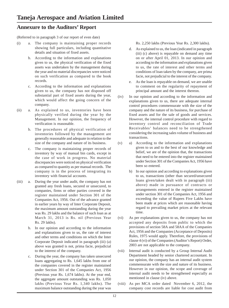## **Annexure to the Auditors' Report**

(Referred to in paragraph 3 of our report of even date)

- (i) a. The company is maintaining proper records showing full particulars, including quantitative details and situation of fixed assets.
	- b. According to the information and explanations given to us, the physical verification of the fixed assets was undertaken by the management during the year and no material discrepancies were noticed on such verification as compared to the book records.
	- c. According to the information and explanations given to us, the company has not disposed off substantial part of fixed assets during the year, which would affect the going concern of the company.
- (ii) a. As explained to us, inventories have been physically verified during the year by the Management. In our opinion, the frequency of verification is reasonable.
	- b. The procedures of physical verification of inventories followed by the management are generally reasonable and adequate in relation to the size of the company and nature of its business.
	- c. The company is maintaining proper records of inventory by way of manual bin cards, except in the case of work in progress. No material discrepancies were noticed on physical verification as compared to quantity as per manual records. The company is in the process of integrating its inventory with financial accounts.
- (iii) a. During the year under audit, the company has not granted any fresh loans, secured or unsecured, to companies, firms or other parties covered in the register maintained under Section 301 of the Companies Act, 1956. Out of the advance granted in earlier years by way of Inter Corporate Deposit, the maximum amount outstanding during the year was Rs. 29 lakhs and the balance of such loan as at March 31, 2013 is Rs. nil (Previous Year Rs. 29 lakhs).
	- b. In our opinion and according to the information and explanations given to us, the rate of interest and other terms and conditions on which the Inter Corporate Deposit indicated in paragraph (iii) (a) above was granted is not, prima facie, prejudicial to the interest of the company.
	- c. During the year, the company has taken unsecured loans aggregating to Rs. 1,645 lakhs from one of the companies covered in the register maintained under Section 301 of the Companies Act, 1956 (Previous year Rs. 1,674 lakhs). At the year end, the aggregate amount outstanding was Rs. 1,050 lakhs (Previous Year Rs. 1,340 lakhs). The maximum balance outstanding during the year was

Rs. 2,250 lakhs (Previous Year Rs. 2,300 lakhs).

- d. As explained to us, the loan (indicated in paragraph (iii) (c) above) is repayable on demand any time on or after April 01, 2013. In our opinion and according to the information and explanations given to us, the rate of interest and other terms and conditions of loan taken by the company, are prima facie, not prejudicial to the interest of the company.
- e. As the loan is repayable on demand, we are unable to comment on the regularity of repayment of principal amount and the interest thereon.
- (iv) In our opinion and according to the information and explanations given to us, there are adequate internal control procedures commensurate with the size of the company and the nature of its business, for purchase of fixed assets and for the sale of goods and services. However, the internal control procedure with regard to inventory control and reconciliation of Trade Receivables' balances need to be strengthened considering the increasing sales volume of business and transactions.
- (v) a) According to the information and explanations given to us and to the best of our knowledge and belief, we are of the opinion that, the transactions that need to be entered into the register maintained under Section 301 of the Companies Act, 1956 have been so entered.
	- b) In our opinion and according to explanations given to us, transactions (other than secured/unsecured loans given/taken dealt with in paragraph (iii) above) made in pursuance of contracts or arrangements entered in the register maintained under section 301 of the Companies Act, 1956 and exceeding the value of Rupees Five Lakhs have been made at prices which are reasonable having regard to prevailing market prices at the relevant time.
- (vi) As per explanations given to us, the company has not accepted any deposits from public to which the provisions of section 58A and 58AA of the Companies Act, 1956 and the Companies (Acceptance of Deposits) Rules, 1975 would apply. Therefore, the provisions of clause 4 (vi) of the Companies (Auditor's Report) Order, 2003 are not applicable to the company.
- (vii) Internal audit is conducted by a Group Internal Audit Department headed by senior chartered accountant. In our opinion, the company has an internal audit system commensurate with the size and nature of its business. However in our opinion, the scope and coverage of internal audit needs to be strengthened especially as mentioned in clause (iv) above.
- (viii) As per MCA order dated November 6, 2012, the company cost records are liable for cost audit from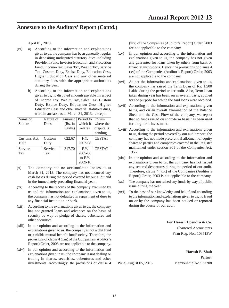## **Annexure to the Auditors' Report (Contd.)**

April 01, 2013.

- (ix) a) According to the information and explanations given to us, the company has been generally regular in depositing undisputed statutory dues including Provident Fund, Investor Education and Protection Fund, Income-Tax, Sales Tax, Wealth Tax, Service Tax, Custom Duty, Excise Duty, Education Cess, Higher Education Cess and any other material statutory dues with the appropriate authorities during the year.
	- b) According to the information and explanations given to us, no disputed amounts payable in respect of Income Tax, Wealth Tax, Sales Tax, Custom Duty, Excise Duty, Education Cess, Higher Education Cess and other material statutory dues, were in arrears, as at March 31, 2013, except :

| Name of        | Nature of | Amount  | Period to Forum |               |
|----------------|-----------|---------|-----------------|---------------|
| <b>Statute</b> | Dues      | (Rs. in | which it        | where the     |
|                |           | Lakhs)  | relates         | dispute is    |
|                |           |         |                 | pending       |
| Customs Act.   | Custom    | 622.67  | EY.             | <b>CESTAT</b> |
| 1962           | Duty      |         | 2007-08         |               |
| Service        | Service   | 317.70  | EY.             | <b>CESTAT</b> |
| <b>Tax</b>     | Tax       |         | 2005-06         |               |
|                |           |         | to F.Y.         |               |
|                |           |         | 2009-10         |               |

- (x) The company has no accumulated losses as at March 31, 2013. The company has not incurred any cash losses during the period covered by our audit and in the immediately preceding financial year.
- (xi) According to the records of the company examined by us and the information and explanations given to us, the company has not defaulted in repayment of dues to any financial institution or bank.
- (xii) According to the explanations given to us, the company has not granted loans and advances on the basis of security by way of pledge of shares, debentures and other securities.
- (xiii) In our opinion and according to the information and explanations given to us, the company is not a chit fund or a nidhi/ mutual benefit fund/society. Therefore, the provisions of clause 4 (xiii) of the Companies (Auditor's Report) Order, 2003 are not applicable to the company.
- (xiv) In our opinion and according to the information and explanations given to us, the company is not dealing or trading in shares, securities, debentures and other investments. Accordingly, the provisions of clause 4

(xiv) of the Companies (Auditor's Report) Order, 2003 are not applicable to the company.

- (xv) In our opinion and according to the information and explanations given to us, the company has not given any guarantee for loans taken by others from bank or financial institutions. Hence, the provisions of clause 4 (xv) of the Companies (Auditor's Report) Order, 2003 are not applicable to the company.
- (xvi) As per the information and explanations given to us, the company has raised the Term Loan of Rs. 1,500 Lakhs during the period under audit. Also, Term Loan taken during year has been, on an overall basis, applied for the purpose for which the said loans were obtained.
- (xvii) According to the information and explanations given to us, and on an overall examination of the Balance Sheet and the Cash Flow of the company, we report that no funds raised on short-term basis has been used for long-term investment.
- (xviii) According to the information and explanations given to us, during the period covered by our audit report, the company has not made preferential allotment of equity shares to parties and companies covered in the Register maintained under section 301 of the Companies Act, 1956.
- (xix) In our opinion and according to the information and explanations given to us, the company has not issued any secured debentures during the period of our audit. Therefore, clause 4 (xix) of the Companies (Auditor's Report) Order, 2003 is not applicable to the company.
- (xx) The company has not raised any funds by way of public issue during the year.
- (xxi) To the best of our knowledge and belief and according to the information and explanations given to us, no fraud on or by the company has been noticed or reported during the course of our audit.

**For Haresh Upendra & Co.**

Chartered Accountants Firm Reg. No.: 103513W

**Haresh B. Shah**

Partner Pune, August 05, 2013 Membership No.: 32208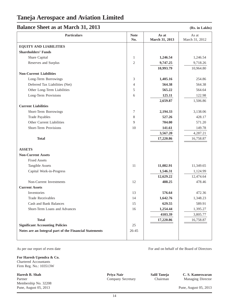## **Balance Sheet as at March 31, 2013** (Rs. in Lakhs)

| <b>Particulars</b>                                     | <b>Note</b><br>No. | As at<br>March 31, 2013 | As at<br>March 31, 2012 |
|--------------------------------------------------------|--------------------|-------------------------|-------------------------|
| <b>EQUITY AND LIABILITIES</b>                          |                    |                         |                         |
| <b>Shareholders' Funds</b>                             |                    |                         |                         |
| Share Capital                                          | $\mathbf{1}$       | 1,246.54                | 1,246.54                |
| Reserves and Surplus                                   | $\overline{2}$     | 9,747.25                | 9,718.26                |
|                                                        |                    | 10,993.79               | 10,964.80               |
| <b>Non-Current Liabilities</b>                         |                    |                         |                         |
| Long-Term Borrowings                                   | 3                  | 1,405.16                | 254.86                  |
| Deferred Tax Liabilities (Net)                         | $\overline{4}$     | 564.38                  | 564.38                  |
| Other Long-Term Liabilities                            | 5                  | 565.22                  | 564.64                  |
| Long-Term Provisions                                   | 6                  | 125.11                  | 122.98                  |
|                                                        |                    | 2,659.87                | 1,506.86                |
| <b>Current Liabilities</b>                             |                    |                         |                         |
| Short-Term Borrowings                                  | 7                  | 2,194.33                | 3,138.06                |
| <b>Trade Payables</b>                                  | 8                  | 527.26                  | 428.17                  |
| Other Current Liabilities                              | 9                  | 704.00                  | 571.20                  |
| <b>Short-Term Provisions</b>                           | 10                 | 141.61                  | 149.78                  |
|                                                        |                    | 3,567.20                | 4,287.21                |
| <b>Total</b>                                           |                    | 17,220.86               | 16,758.87               |
| <b>ASSETS</b>                                          |                    |                         |                         |
| <b>Non-Current Assets</b>                              |                    |                         |                         |
| <b>Fixed Assets</b>                                    |                    |                         |                         |
| Tangible Assets                                        | 11                 | 11,082.91               | 11,349.65               |
| Capital Work-in-Progress                               |                    | 1,546.31                | 1,124.99                |
|                                                        |                    | 12,629.22               | 12,474.64               |
| Non-Current Investments                                | 12                 | 488.25                  | 478.46                  |
| <b>Current Assets</b>                                  |                    |                         |                         |
| <b>Inventories</b>                                     | 13                 | 576.64                  | 472.36                  |
| <b>Trade Receivables</b>                               | 14                 | 1,642.76                | 1,348.23                |
| Cash and Bank Balances                                 | 15                 | 629.55                  | 589.91                  |
| Short-Term Loans and Advances                          | 16                 | 1,254.44                | 1,395.27                |
|                                                        |                    | 4103.39                 | 3,805.77                |
| <b>Total</b>                                           |                    | 17,220.86               | 16,758.87               |
| <b>Significant Accounting Policies</b>                 | 25                 |                         |                         |
| Notes are an Integral part of the Financial Statements | $26 - 45$          |                         |                         |
|                                                        |                    |                         |                         |

As per our report of even date For and on behalf of the Board of Directors

**For Haresh Upendra & Co.** Chartered Accountants Firm Reg. No.: 103513W

**Haresh B. Shah Priya Nair Salil Taneja C. S. Kameswaran** Partner **Company Secretary Chairman Managing Director** Membership No. 32208 Pune, August 05, 2013 Pune, August 05, 2013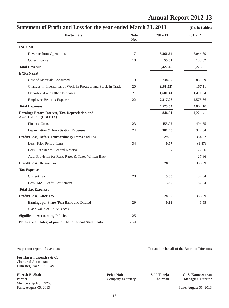## **Annual Report 2012-13**

| <b>Particulars</b>                                                              | <b>Note</b><br>No. | 2012-13  | 2011-12  |
|---------------------------------------------------------------------------------|--------------------|----------|----------|
| <b>INCOME</b>                                                                   |                    |          |          |
| Revenue from Operations                                                         | 17                 | 5,366.64 | 5,044.89 |
| Other Income                                                                    | 18                 | 55.81    | 180.62   |
| <b>Total Revenue</b>                                                            |                    | 5,422.45 | 5,225.51 |
| <b>EXPENSES</b>                                                                 |                    |          |          |
| Cost of Materials Consumed                                                      | 19                 | 738.59   | 859.79   |
| Changes in Inventories of Work-in-Progress and Stock-in-Trade                   | 20                 | (161.52) | 157.11   |
| Operational and Other Expenses                                                  | 21                 | 1,681.41 | 1,411.54 |
| <b>Employee Benefits Expense</b>                                                | 22                 | 2,317.06 | 1,575.66 |
| <b>Total Expenses</b>                                                           |                    | 4,575.54 | 4,004.10 |
| Earnings Before Interest, Tax, Depreciation and<br><b>Amortisation (EBITDA)</b> |                    | 846.91   | 1,221.41 |
| Finance Costs                                                                   | 23                 | 455.95   | 494.35   |
| Depreciation & Amortisation Expenses                                            | 24                 | 361.40   | 342.54   |
| Profit/(Loss) Before Extraordinary Items and Tax                                |                    | 29.56    | 384.52   |
| Less: Prior Period Items                                                        | 34                 | 0.57     | (1.87)   |
| Less: Transfer to General Reserve                                               |                    |          | 27.86    |
| Add: Provision for Rent, Rates & Taxes Written Back                             |                    |          | 27.86    |
| Profit/(Loss) Before Tax                                                        |                    | 28.99    | 386.39   |
| <b>Tax Expenses</b>                                                             |                    |          |          |
| Current Tax                                                                     | 28                 | 5.80     | 82.34    |
| Less: MAT Credit Entitlement                                                    |                    | 5.80     | 82.34    |
| <b>Total Tax Expenses</b>                                                       |                    |          |          |
| Profit/(Loss) After Tax                                                         |                    | 28.99    | 386.39   |
| Earnings per Share (Rs.) Basic and Diluted                                      | 29                 | 0.12     | 1.55     |
| (Face Value of Rs. 5/- each)                                                    |                    |          |          |
| <b>Significant Accounting Policies</b>                                          | 25                 |          |          |
| Notes are an Integral part of the Financial Statements                          | 26-45              |          |          |

As per our report of even date For and on behalf of the Board of Directors

**For Haresh Upendra & Co.** Chartered Accountants Firm Reg. No.: 103513W

**Haresh B. Shah Priya Nair Salil Taneja C. S. Kameswaran** Partner **Company Secretary** Chairman Managing Director Membership No. 32208 Pune, August 05, 2013 Pune, August 05, 2013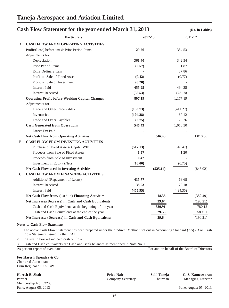| Cash Flow Statement for the year ended March 31, 2013 | (Rs. in Lakhs) |
|-------------------------------------------------------|----------------|
|-------------------------------------------------------|----------------|

|   | <b>Particulars</b>                                     |          | 2012-13  |          | 2011-12  |
|---|--------------------------------------------------------|----------|----------|----------|----------|
| A | <b>CASH FLOW FROM OPERATING ACTIVITIES</b>             |          |          |          |          |
|   | Profit/(Loss) before tax & Prior Period Items          | 29.56    |          | 384.53   |          |
|   | Adjustments for:                                       |          |          |          |          |
|   | Depreciation                                           | 361.40   |          | 342.54   |          |
|   | Prior Period Items                                     | (0.57)   |          | 1.87     |          |
|   | Extra Ordinary Item                                    |          |          | 27.86    |          |
|   | Profit on Sale of Fixed Assets                         | (0.42)   |          | (0.77)   |          |
|   | Profit on Sale of Investment                           | (0.20)   |          |          |          |
|   | Interest Paid                                          | 455.95   |          | 494.35   |          |
|   | <b>Interest Received</b>                               | (38.53)  |          | (73.18)  |          |
|   | <b>Operating Profit before Working Capital Changes</b> | 807.19   |          | 1,177.19 |          |
|   | Adjustments for :                                      |          |          |          |          |
|   | Trade and Other Receivables                            | (153.73) |          | (411.27) |          |
|   | Inventories                                            | (104.28) |          | 69.12    |          |
|   | Trade and Other Payables                               | (2.75)   |          | 175.26   |          |
|   | <b>Cash Generated from Operations</b>                  | 546.43   |          | 1,010.30 |          |
|   | Direct Tax Paid                                        |          |          |          |          |
|   | <b>Net Cash Flow from Operating Activities</b>         |          | 546.43   |          | 1,010.30 |
| B | <b>CASH FLOW FROM INVESTING ACTIVITIES</b>             |          |          |          |          |
|   | Purchase of Fixed Assets/ Capital WIP                  | (517.13) |          | (848.47) |          |
|   | Proceeds from Sale of Fixed Assets                     | 1.57     |          | 1.20     |          |
|   | Proceeds from Sale of Investment                       | 0.42     |          |          |          |
|   | Investment in Equity (Net)                             | (10.00)  |          | (0.75)   |          |
|   | Net Cash Flow used in Investing Activities             |          | (525.14) |          | (848.02) |
| C | <b>CASH FLOW FROM FINANCING ACTIVITIES</b>             |          |          |          |          |
|   | Additions/ (Repayment of Loans)                        | 435.77   |          | 68.68    |          |
|   | <b>Interest Received</b>                               | 38.53    |          | 73.18    |          |
|   | <b>Interest Paid</b>                                   | (455.95) |          | (494.35) |          |
|   | Net Cash Flow from/ (used in) Financing Activities     |          | 18.35    |          | (352.49) |
|   | Net Increase/(Decrease) in Cash and Cash Equivalents   |          | 39.64    |          | (190.21) |
|   | Cash and Cash Equivalents at the beginning of the year |          | 589.91   |          | 780.12   |
|   | Cash and Cash Equivalents at the end of the year       |          | 629.55   |          | 589.91   |
|   | Net Increase/ (Decrease) in Cash and Cash Equivalents  |          | 39.64    |          | (190.21) |

#### **Notes to Cash Flow Statement**

1 The above Cash Flow Statement has been prepared under the "Indirect Method" set out in Accounting Standard (AS) - 3 on Cash Flow Statement issued by the ICAI.

2 Figures in bracket indicate cash outflow.

3 Cash and Cash equivalents are Cash and Bank balances as mentioned in Note No. 15.

As per our report of even date For and on behalf of the Board of Directors

**For Haresh Upendra & Co.** Chartered Accountants

Firm Reg. No.: 103513W

Partner **Company Secretary Chairman Managing Director** Membership No. 32208 Pune, August 05, 2013 Pune, August 05, 2013

**Haresh B. Shah Priya Nair Salil Taneja C. S. Kameswaran**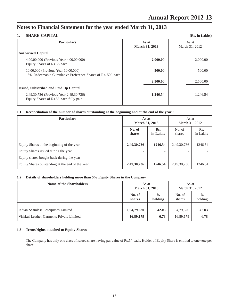## **Notes to Financial Statement for the year ended March 31, 2013**

#### **1. SHARE CAPITAL (Rs. in Lakhs)**

| <b>Particulars</b>                                                                                  | As at<br><b>March 31, 2013</b> | As at<br>March 31, 2012 |
|-----------------------------------------------------------------------------------------------------|--------------------------------|-------------------------|
| <b>Authorised Capital</b>                                                                           |                                |                         |
| 4,00,00,000 (Previous Year 4,00,00,000)<br>Equity Shares of Rs.5/- each                             | 2,000.00                       | 2,000.00                |
| 10,00,000 (Previous Year 10,00,000)<br>15% Redeemable Cumulative Preference Shares of Rs. 50/- each | 500.00                         | 500.00                  |
|                                                                                                     | 2,500.00                       | 2,500.00                |
| <b>Issued, Subscribed and Paid Up Capital</b>                                                       |                                |                         |
| 2,49,30,736 (Previous Year 2,49,30,736)<br>Equity Shares of Rs.5/- each fully paid                  | 1,246.54                       | 1,246.54                |

#### **1.1 Reconciliation of the number of shares outstanding at the beginning and at the end of the year :**

| <b>Particulars</b>                                                                            | As at<br>March 31, 2013 |                 | As at<br>March 31, 2012 |                 |
|-----------------------------------------------------------------------------------------------|-------------------------|-----------------|-------------------------|-----------------|
|                                                                                               | No. of<br>shares        | Rs.<br>in Lakhs | No. of<br>shares        | Rs.<br>in Lakhs |
| Equity Shares at the beginning of the year<br>Equity Shares issued during the year            | 2,49,30,736<br>٠        | 1246.54         | 2,49,30,736             | 1246.54         |
| Equity shares bought back during the year<br>Equity Shares outstanding at the end of the year | ٠<br>2,49,30,736        | ۰<br>1246.54    | 2,49,30,736             | 1246.54         |

#### **1.2 Details of shareholders holding more than 5% Equity Shares in the Company**

| Name of the Shareholders                 | As at<br>March 31, 2013 |               | As at<br>March 31, 2012 |         |
|------------------------------------------|-------------------------|---------------|-------------------------|---------|
|                                          | No. of                  | $\frac{0}{0}$ | No. of                  | $\%$    |
|                                          | shares                  | holding       | shares                  | holding |
| Indian Seamless Enterprises Limited      | 1,04,79,620             | 42.03         | 1,04,79,620             | 42.03   |
| Vishkul Leather Garments Private Limited | 16,89,179               | 6.78          | 16,89,179               | 6.78    |

#### **1.3 Terms/rights attached to Equity Shares**

The Company has only one class of issued share having par value of Rs.5/- each. Holder of Equity Share is entitled to one vote per share.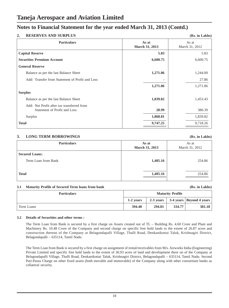## **Notes to Financial Statement for the year ended March 31, 2013 (Contd.)**

### **2. RESERVES AND SURPLUS (Rs. in Lakhs)**

| <b>Particulars</b>                                                         | As at<br>March 31, 2013 | As at<br>March 31, 2012 |
|----------------------------------------------------------------------------|-------------------------|-------------------------|
| <b>Capital Reserve</b>                                                     | 5.83                    | 5.83                    |
| <b>Securities Premium Account</b>                                          | 6,600.75                | 6,600.75                |
| <b>General Reserve</b>                                                     |                         |                         |
| Balance as per the last Balance Sheet                                      | 1,271.86                | 1,244.00                |
| Add: Transfer from Statement of Profit and Loss                            |                         | 27.86                   |
|                                                                            | 1,271.86                | 1,271.86                |
| <b>Surplus</b>                                                             |                         |                         |
| Balance as per the last Balance Sheet                                      | 1,839.82                | 1,453.43                |
| Add: Net Profit after tax transferred from<br>Statement of Profit and Loss | 28.99                   | 386.39                  |
| Surplus                                                                    | 1,868.81                | 1,839.82                |
| <b>Total</b>                                                               | 9,747.25                | 9,718.26                |

#### **3. LONG TERM BORROWINGS (Rs. in Lakhs)**

| <b>Particulars</b>                           | As at<br>March 31, 2013 | As at<br>March 31, 2012 |
|----------------------------------------------|-------------------------|-------------------------|
| <b>Secured Loans:</b><br>Term Loan from Bank | 1,405.16                | 254.86                  |
| <b>Total</b>                                 | 1,405.16                | 254.86                  |

#### **3.1 Maturity Profile of Secured Term loans from bank (Rs. in Lakhs)**

| <b>Particulars</b> | <b>Maturity Profile</b> |        |        |                                              |
|--------------------|-------------------------|--------|--------|----------------------------------------------|
|                    | 1-2 years               |        |        | 2-3 years $\vert$ 3-4 years   Beyond 4 years |
| Term Loans         | 394.40                  | 294.81 | 334.77 | 381.18                                       |

#### **3.2 Details of Securities and other terms :**

The Term Loan from Bank is secured by a first charge on Assets created out of TL – Building Rs. 4.60 Crore and Plant and Machinery Rs. 10.48 Crore of the Company and second charge on specific free hold lands to the extent of 26.87 acres and construction thereon of the Company at Belagondapalli Village, Thalli Road, Denkanikottai Taluk, Krishnagiri District, Belagondapalli – 635114, Tamil Nadu.

The Term Loan from Bank is secured by a first charge on assignment of rental/receivables from M/s. Airworks India (Engineering) Private Limited and specific free hold lands to the extent of 36.93 acres of land and development there on of the Company at Belagondapalli Village, Thalli Road, Denkanikottai Taluk, Krishnagiri District, Belagondapalli – 635114, Tamil Nadu. Second Pari-Passu Charge on other fixed assets (both movable and immovable) of the Company along with other consortium banks as collateral security.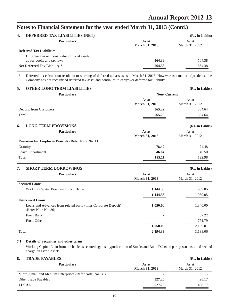#### **4. DEFERRED TAX LIABILITIES (NET) (Rs. in Lakhs)**

| <b>Particulars</b>                                                        | As at<br><b>March 31, 2013</b> | As at<br>March 31, 2012 |
|---------------------------------------------------------------------------|--------------------------------|-------------------------|
| <b>Deferred Tax Liabilities:</b>                                          |                                |                         |
| Difference in net book value of fixed assets<br>as per books and tax laws | 564.38                         | 564.38                  |
| <b>Net Deferred Tax Liability *</b>                                       | 564.38                         | 564.38                  |

\* Deferred tax calculation results in to working of deferred tax assets as at March 31, 2013. However as a matter of prudence, the Company has not recognised deferred tax asset and continues to carryover deferred tax liability.

#### **5. OTHER LONG TERM LIABILITIES (Rs. in Lakhs)**

| <b>Particulars</b>     | <b>Non-</b> Current              |        |  |
|------------------------|----------------------------------|--------|--|
|                        | As at<br>As at                   |        |  |
|                        | March 31, 2013<br>March 31, 2012 |        |  |
| Deposit from Customers | 565.22                           | 564.64 |  |
| <b>Total</b>           | 565.22                           | 564.64 |  |

#### **6. LONG TERM PROVISIONS (Rs. in Lakhs)**

| <b>Particulars</b>                                  | As at<br>March 31, 2013 | As at<br>March 31, 2012 |
|-----------------------------------------------------|-------------------------|-------------------------|
| Provision for Employee Benefits (Refer Note No. 41) |                         |                         |
| Gratuity                                            | 78.47                   | 74.48                   |
| Leave Encashment                                    | 46.64                   | 48.50                   |
| <b>Total</b>                                        | 125.11                  | 122.98                  |
|                                                     |                         |                         |

#### **7. SHORT TERM BORROWINGS (Rs. in Lakhs)**

| <b>Particulars</b>                                                                     | As at          | As at          |
|----------------------------------------------------------------------------------------|----------------|----------------|
|                                                                                        | March 31, 2013 | March 31, 2012 |
| <b>Secured Loans:</b>                                                                  |                |                |
| Working Capital Borrowing from Banks                                                   | 1,144.33       | 939.05         |
|                                                                                        | 1,144.33       | 939.05         |
| <b>Unsecured Loans:</b>                                                                |                |                |
| Loans and Advances from related party (Inter Corporate Deposit)<br>(Refer Note No. 36) | 1,050.00       | 1,340.00       |
| From Bank                                                                              | ٠              | 87.22          |
| From Other                                                                             | $\blacksquare$ | 771.79         |
|                                                                                        | 1,050.00       | 2,199.01       |
| <b>Total</b>                                                                           | 2,194.33       | 3,138.06       |

#### **7.1 Details of Securities and other terms**

Working Capital Loan from the banks is secured against hypothecation of Stocks and Book Debts on pari-passu basis and second charge on Fixed Assets.

#### **8. TRADE PAYABLES (Rs. in Lakhs)**

| <b>Particulars</b>                                       | As at<br><b>March 31, 2013</b> | As at<br>March 31, 2012 |
|----------------------------------------------------------|--------------------------------|-------------------------|
| Micro, Small and Medium Enterprises (Refer Note, No. 38) |                                |                         |
| <b>Other Trade Payables</b>                              | 527.26                         | 428.17                  |
| <b>TOTAL</b>                                             | 527.26                         | 428.17                  |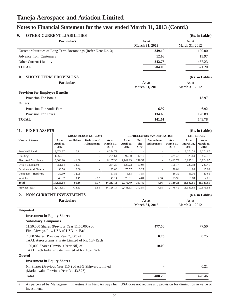## **Notes to Financial Statement for the year ended March 31, 2013 (Contd.)**

#### **9. OTHER CURRENT LIABILITIES (Rs. in Lakhs)**

| <b>Particulars</b>                                            | As at                 | As at          |
|---------------------------------------------------------------|-----------------------|----------------|
|                                                               | <b>March 31, 2013</b> | March 31, 2012 |
| Current Maturities of Long Term Borrowings (Refer Note No. 3) | 349.19                | 120.00         |
| <b>Advance from Customers</b>                                 | 12.08                 | 13.97          |
| <b>Other Current Liability</b>                                | 342.73                | 437.23         |
| <b>TOTAL</b>                                                  | 704.00                | 571.20         |

#### **10. SHORT TERM PROVISIONS (Rs. in Lakhs)**

| <b>Particulars</b>                     | As at<br>March 31, 2013 | As at<br>March 31, 2012 |
|----------------------------------------|-------------------------|-------------------------|
| <b>Provision for Employee Benefits</b> |                         |                         |
| <b>Provision For Bonus</b>             | ۰                       | 13.97                   |
| <b>Others</b>                          |                         |                         |
| Provision For Audit Fees               | 6.92                    | 6.92                    |
| <b>Provision For Taxes</b>             | 134.69                  | 128.89                  |
| <b>TOTAL</b>                           | 141.61                  | 149.78                  |
|                                        |                         |                         |

#### **11. FIXED ASSETS (Rs. in Lakhs)**

|                         | <b>GROSS BLOCK (AT COST)</b> |                          |                                   | <b>DEPRECIATION /AMORTISATION</b> |                            |                    | <b>NET BLOCK</b>                  |                            |                            |                              |
|-------------------------|------------------------------|--------------------------|-----------------------------------|-----------------------------------|----------------------------|--------------------|-----------------------------------|----------------------------|----------------------------|------------------------------|
| <b>Nature of Assets</b> | As at<br>April 01,<br>2012   | <b>Additions</b>         | Deductions/<br><b>Adjustments</b> | As at<br>March 31,<br>2013        | As at<br>April 01,<br>2012 | For<br>The<br>Year | Deductions/<br><b>Adjustments</b> | As at<br>March 31,<br>2013 | As at<br>March 31,<br>2013 | As at<br>March $31,$<br>2012 |
| Free Hold Land          | 6,274.67                     | 0.11                     |                                   | 6,274.78                          |                            |                    |                                   |                            | 6.274.78                   | 6.274.67                     |
| Building                | 1,259.61                     | $\overline{\phantom{a}}$ | $\overline{\phantom{a}}$          | 1.259.61                          | 397.30                     | 42.17              |                                   | 439.47                     | 820.14                     | 862.31                       |
| Plant And Machinery     | 6,066.90                     | 41.00                    | $\overline{\phantom{a}}$          | 6.107.90                          | 2.142.23                   | 270.57             |                                   | 2.412.79                   | 3.695.11                   | 3.924.67                     |
| Office Equipment        | 351.14                       | 33.21                    |                                   | 384.35                            | 123.73                     | 33.04              |                                   | 156.77                     | 227.58                     | 227.41                       |
| Furniture And Fixture   | 93.50                        | 0.30                     |                                   | 93.80                             | 75.57                      | 3.27               |                                   | 78.84                      | 14.96                      | 17.93                        |
| Computer - Hardware     | 39.50                        | 12.05                    |                                   | 51.55                             | 8.85                       | 7.54               |                                   | 16.39                      | 35.16                      | 30.65                        |
| Vehicles                | 40.82                        | 9.49                     | 9.17                              | 41.14                             | 28.81                      | 4.81               | 7.66                              | 25.96                      | 15.18                      | 12.01                        |
| <b>Total</b>            | 14,126.14                    | 96.16                    | 9.17                              | 14.213.13                         | 2,776.49                   | 361.40             | 7.66                              | 3.130.23                   | 11.082.91                  | 11,349.65                    |
| Previous Year           | 13.418.51                    | 714.53                   | 6.90                              | 14,126.14                         | 2,441.53                   | 342.54             | 7.58                              | 2,776.49                   | 11.349.65                  | 10,976.98                    |

#### **12. NON CURRENT INVESTMENTS (Rs. in Lakhs)**

| <b>Particulars</b>                                                                                | As at          | As at          |
|---------------------------------------------------------------------------------------------------|----------------|----------------|
|                                                                                                   | March 31, 2013 | March 31, 2012 |
| <b>Unquoted</b>                                                                                   |                |                |
| <b>Investment in Equity Shares</b>                                                                |                |                |
| <b>Subsidiary Companies</b>                                                                       |                |                |
| 11,50,000 Shares (Previous Year $11,50,000$ ) of<br>First Airways Inc., USA of USD 1/- Each       | 477.50         | 477.50         |
| 7,500 Shares (Previous Year 7,500) of<br>TAAL Aerosystems Private Limited of Rs. 10/- Each        | 0.75           | 0.75           |
| 1,00,000 Shares (Previous Year Nil) of<br>TAAL Tech India Private Limited of Rs. 10/- Each        | 10.00          |                |
| <b>Ouoted</b>                                                                                     |                |                |
| <b>Investment in Equity Shares</b>                                                                |                |                |
| Nil Shares (Previous Year 115) of ABG Shipyard Limited<br>(Market value Previous Year Rs. 43,827) | ٠              | 0.21           |
| <b>Total</b>                                                                                      | 488.25         | 478.46         |

# As perceived by Management, investment in First Airways Inc., USA does not require any provision for diminution in value of investment.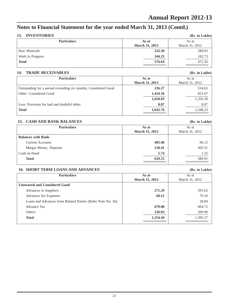## **13. INVENTORIES (Rs. in Lakhs)**

| <b>Particulars</b> | As at<br>March 31, 2013 | As at<br>March 31, 2012 |
|--------------------|-------------------------|-------------------------|
| Raw Materials      | 232.39                  | 289.63                  |
| Work in Progress   | 344.25                  | 182.73                  |
| <b>Total</b>       | 576.64                  | 472.36                  |
|                    |                         |                         |

#### **14. TRADE RECEIVABLES (Rs. in Lakhs)**

| <b>Particulars</b>                                             | As at                 | As at          |
|----------------------------------------------------------------|-----------------------|----------------|
|                                                                | <b>March 31, 2013</b> | March 31, 2012 |
| Outstanding for a period exceeding six months, Considered Good | 226.27                | 534.63         |
| Other Considered Good                                          | 1,424.56              | 821.67         |
|                                                                | 1,650.83              | 1,356.30       |
| Less: Provision for bad and doubtful debts                     | 8.07                  | 8.07           |
| <b>Total</b>                                                   | 1,642.76              | 1,348.23       |
|                                                                |                       |                |

### **15. CASH AND BANK BALANCES (Rs. in Lakhs)**

| <b>Particulars</b>        | As at<br>March 31, 2013 | As at<br>March 31, 2012 |
|---------------------------|-------------------------|-------------------------|
| <b>Balances with Bank</b> |                         |                         |
| <b>Current Accounts</b>   | 405.40                  | 96.15                   |
| Margin Money Deposits     | 218.41                  | 492.51                  |
| Cash on Hand              | 5.74                    | 1.25                    |
| <b>Total</b>              | 629.55                  | 589.91                  |

#### **16. SHORT TERM LOANS AND ADVANCES (Rs. in Lakhs)**

| <b>Particulars</b>                                          | As at          | As at          |
|-------------------------------------------------------------|----------------|----------------|
|                                                             | March 31, 2013 | March 31, 2012 |
| <b>Unsecured and Considered Good</b>                        |                |                |
| Advances to Suppliers                                       | 271.29         | 291.62         |
| Advances for Expenses                                       | 68.12          | 79.10          |
| Loans and Advances from Related Parties (Refer Note No. 36) |                | 28.84          |
| Advance Tax                                                 | 679.00         | 604.72         |
| <b>Others</b>                                               | 236.03         | 390.99         |
| <b>Total</b>                                                | 1,254.44       | 1,395.27       |
|                                                             |                |                |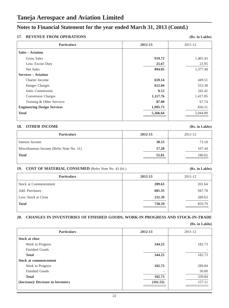## **Notes to Financial Statement for the year ended March 31, 2013 (Contd.)**

#### **17. REVENUE FROM OPERATIONS (Rs. in Lakhs)**

| <b>Particulars</b>                 | 2012-13  | 2011-12  |
|------------------------------------|----------|----------|
| Sales – Aviation                   |          |          |
| Gross Sales                        | 919.72   | 1,401.43 |
| Less: Excise Duty                  | 25.67    | 23.95    |
| Net Sales                          | 894.05   | 1,377.48 |
| <b>Services – Aviation</b>         |          |          |
| Charter Income                     | 659.14   | 449.51   |
| Hanger Charges                     | 612.84   | 553.38   |
| Sales Commission                   | 0.12     | 342.42   |
| <b>Conversion Charges</b>          | 1,117.76 | 1,417.85 |
| Training & Other Services          | 87.00    | 67.74    |
| <b>Engineering Design Services</b> | 1,995.73 | 836.51   |
| <b>Total</b>                       | 5,366.64 | 5,044.89 |

#### **18. OTHER INCOME (Rs. in Lakhs)**

| <b>Particulars</b>                       | 2012-13 | 2011-12 |
|------------------------------------------|---------|---------|
| Interest Income                          | 38.53   | 73.18   |
| Miscellaneous Income (Refer Note No. 31) | 17.28   | 107.44  |
| <b>Total</b>                             | 55.81   | 180.62  |

#### **19. COST OF MATERIAL CONSUMED** (Refer Note No. 43 (b) ) **(Rs. in Lakhs)** (Rs. in Lakhs)

## **Particulars** 2012-13 2011-12 Stock at Commencement **289.63** 201.64 Add: Purchases **681.35** 947.78 Less: Stock at Close **232.39** 289.63 **Total 738.59** 859.79

### **20. CHANGES IN INVENTORIES OF FINISHED GOODS, WORK-IN PROGRESS AND STOCK-IN-TRADE**

|  |  | (Rs. in Lakhs) |
|--|--|----------------|
|--|--|----------------|

| <b>Particulars</b>                | 2012-13  | 2011-12 |
|-----------------------------------|----------|---------|
| <b>Stock at close</b>             |          |         |
| Work in Progress                  | 344.25   | 182.73  |
| <b>Finished Goods</b>             | ۰        |         |
| <b>Total</b>                      | 344.25   | 182.73  |
| <b>Stock at commencement</b>      |          |         |
| Work in Progress                  | 182.73   | 289.84  |
| <b>Finished Goods</b>             | ۰        | 50.00   |
| <b>Total</b>                      | 182.73   | 339.84  |
| (Increase)/ Decrease in Inventory | (161.52) | 157.11  |
|                                   |          |         |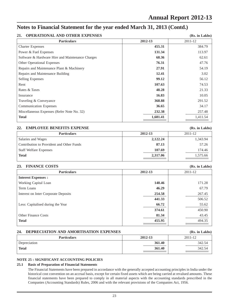### **21. OPERATIONAL AND OTHER EXPENSES (Rs. in Lakhs)**

| <b>Particulars</b>                               | 2012-13  | 2011-12  |
|--------------------------------------------------|----------|----------|
| <b>Charter Expenses</b>                          | 455.31   | 384.79   |
| Power & Fuel Expenses                            | 131.34   | 113.97   |
| Software & Hardware Hire and Maintenance Charges | 68.36    | 62.61    |
| Other Operational Expenses                       | 76.31    | 47.76    |
| Repairs and Maintenance Plant & Machinery        | 27.91    | 54.19    |
| Repairs and Maintenance Building                 | 12.41    | 3.02     |
| Selling Expenses                                 | 99.12    | 56.12    |
| Rent                                             | 107.63   | 74.53    |
| Rates & Taxes                                    | 48.28    | 21.33    |
| Insurance                                        | 16.83    | 10.05    |
| Traveling & Conveyance                           | 368.88   | 291.52   |
| <b>Communication Expenses</b>                    | 36.65    | 34.17    |
| Miscellaneous Expenses (Refer Note No. 32)       | 232.38   | 257.48   |
| <b>Total</b>                                     | 1,681.41 | 1,411.54 |

#### **22. EMPLOYEE BENEFITS EXPENSE (Rs. in Lakhs)**

| <b>Particulars</b>                        | 2012-13  | $2011 - 12$ |
|-------------------------------------------|----------|-------------|
| <b>Salaries and Wages</b>                 | 2,122.24 | 1.343.94    |
| Contribution to Provident and Other Funds | 87.13    | 57.26       |
| <b>Staff Welfare Expenses</b>             | 107.69   | 174.46      |
| <b>Total</b>                              | 2,317.06 | 1,575.66    |

#### **23. FINANCE COSTS (Rs. in Lakhs)**

| 2012-13 | 2011-12 |
|---------|---------|
|         |         |
| 140.46  | 171.28  |
| 46.29   | 67.79   |
| 254.58  | 267.45  |
| 441.33  | 506.52  |
| 66.72   | 55.62   |
| 374.61  | 450.90  |
| 81.34   | 43.45   |
| 455.95  | 494.35  |
|         |         |

#### **24. DEPRECIATION AND AMORTISATION EXPENSES (Rs. in Lakhs)**

| ______             |         | .<br>$  -$<br>$\sim$ $\sim$ |
|--------------------|---------|-----------------------------|
| <b>Particulars</b> | 2012-13 | 2011-12                     |
| Depreciation       | 361.40  | 342.54                      |
| Total              | 361.40  | 342.54                      |
|                    |         |                             |

#### **NOTE 25 : SIGNIFICANT ACCOUNTING POLICIES**

#### **25.1 Basis of Preparation of Financial Statements**

The Financial Statements have been prepared in accordance with the generally accepted accounting principles in India under the historical cost convention on an accrual basis, except for certain fixed assets which are being carried at revalued amounts. These financial statements have been prepared to comply in all material aspects with the accounting standards prescribed in the Companies (Accounting Standards) Rules, 2006 and with the relevant provisions of the Companies Act, 1956.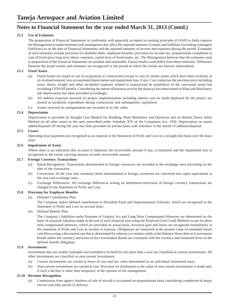#### **25.2 Use of Estimates**

The preparation of Financial Statements in conformity with generally accepted accounting principles (GAAP) in India requires the Management to make estimates and assumptions that affect the reported amounts of assets and liabilities (including contingent liabilities) as on the date of Financial Statements and the reported amounts of income and expenses during the period. Examples of such estimates include provision for doubtful debts, employee benefits, provision for income tax, proportionate completion in case of fixed price long term labour contracts, useful lives of fixed assets, etc. The Management believes that the estimates used in preparation of the Financial Statements are prudent and reasonable. Future results could differ from these estimates. Difference between the actual results and estimates are recognized in the period in which the results are known/ materialized.

#### **25.3 Fixed Assets**

- (a) Fixed Assets are stated at cost of acquisition or construction except in case of certain assets which have been revalued, at its revalued amount, less accumulated depreciation and impairment loss, if any. Cost comprises the purchase price including taxes, duties, freight and other incidental expenses related to acquisitions & installation of the concerned assets but excluding CENVAT benefit. Considering the nature of business activity the Runway has been treated as Plant and Machinery and depreciation has been provided accordingly.
- (b) All indirect expenses incurred on project implementation including interest cost on funds deployed for the project are treated as incidental expenditure during construction and subsequently capitalized.
- (c) Assets received on amalgamation are recorded at its fair value.

#### **25.4 Depreciation**

Depreciation is provided on Straight Line Method for Building, Plant Machinery and Hardware and on Written Down Value Method on all other assets at the rates prescribed under Schedule XIV of the Companies Act, 1956. Depreciation on assets added/disposed off during the year has been provided on prorata basis with reference to the month of addition/disposal.

#### **25.5 Leases**

Operating lease payments are recognised as an expense in the Statement of Profit and Loss on a straight-line basis over the lease term.

#### **25.6 Impairment of Assets**

Where there is an indication that an asset is impaired, the recoverable amount if any, is estimated and the impairment loss is recognised to the extent carrying amount exceeds recoverable amount.

#### **25.7 Foreign Currency Transactions**

- (a) Initial Recognition: Transactions denominated in foreign currencies are recorded at the exchange rates prevailing on the date of the transaction.
- (b) Conversion: At the year end, monetary items denominated in foreign currencies are converted into rupee equivalents at the year-end exchange rates.
- (c) Exchange Differences: All exchange differences arising on settlement/conversion of foreign currency transactions are charged to the Statement of Profit and Loss.

#### **25.8 Provision for Employee Benefits**

(a) Defined Contribution Plan

The Company makes defined contribution to Provident Fund and Superannuation Schemes, which are recognised in the Statement of Profit and Loss on accrual basis.

(b) Defined Benefit Plan

The Company's liabilities under Payment of Gratuity Act and Long Term Compensated Absences are determined on the basis of actuarial valuation made at the end of each financial year using the Projected Unit Credit Method except for short term compensated absences, which are provided on actual basis. Actuarial gain and losses are recognised immediately in the statement of Profit and Loss as income or expense. Obligations are measured at the present value of estimated future cash flows using a discounted rate that is determined by reference to market yields at the Balance Sheet date on Government Bonds where the currency and terms of the Government Bonds are consistent with the currency and estimated terms of the defined benefit obligation.

#### **25.9 Investments**

Investments that are readily realisable and intended to be held for not more than a year are classified as current investments. All other investments are classified as non-current investments.

- (a) Current investments are carried at lower of cost and fair value determined on an individual investment basis.
- (b) Non-current investments are carried at cost. Provision for diminution in the value of non-current investments is made only if such a decline is other than temporary in the opinion of the management.

#### **25.10 Revenue Recognition**

(a) Commission from agency business of sale of aircraft is accounted on proportionate basis considering completion of major service and time period of delivery.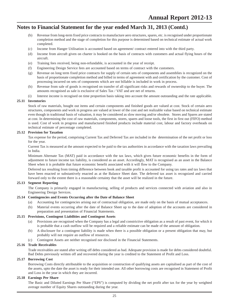- (b) Revenue from long-term fixed price contracts to manufacture aero structures, spares, etc. is recognised under proportionate completion method and the stage of completion for this purpose is determined based on technical estimate of actual work completed.
- (c) Income from Hanger Utilisation is accounted based on agreement/ contract entered into with the third party.
- (d) Income from aircraft given on charter is booked on the basis of contracts with customers and actual flying hours of the aircraft.
- (e) Training fees received, being non-refundable, is accounted in the year of receipt.
- (f) Engineering Design Service fees are accounted based on terms of contract with the customers.
- (g) Revenue on long term fixed price contracts for supply of certain sets of components and assemblies is recognized on the basis of proportionate completion method and billed in terms of agreement with and certification by the customer. Cost of processing incurred on sets of components which are not billable is included in work in process.
- (h) Revenue from sale of goods is recognised on transfer of all significant risks and rewards of ownership to the buyer. The amounts recognised as sale is exclusive of Sales Tax / VAT and are net of returns.
- (i) Interest income is recogised on time proportion basis taking into account the amount outstanding and the rate applicable.

#### **25.11 Inventories**

Stock of raw materials, bought out items and certain components and finished goods are valued at cost. Stock of certain aero structures, components and work in progress are valued at lower of the cost and net realizable value based on technical estimate even though in traditional basis of valuation, it may be considered as slow moving and/or obsolete. Stores and Spares are stated at cost. In determining the cost of raw materials, components, stores, spares and loose tools, the first in first out (FIFO) method is used. Cost of work in progress and manufactured finished products include material cost, labour and factory overheads on technical estimate of percentage completed.

#### **25.12 Provision for Taxation**

Tax expense for the period, comprising Current Tax and Deferred Tax are included in the determination of the net profit or loss for the year.

Current Tax is measured at the amount expected to be paid to the tax authorities in accordance with the taxation laws prevailing in India.

Minimum Alternate Tax (MAT) paid in accordance with the tax laws, which gives future economic benefits in the form of adjustment to future income tax liability, is considered as an asset. Accordingly, MAT is recognised as an asset in the Balance Sheet when it is probable that future economic benefit associated with it will flow to the Company.

Deferred tax resulting from timing difference between book and taxable profit is accounted for using tax rates and tax laws that have been enacted or substantively enacted as at the Balance Sheet date. The deferred tax asset is recognized and carried forward only to the extent there is a reasonable certainty that the asset will be realized in the future.

#### **25.13 Segment Reporting**

The Company is primarily engaged in manufacturing, selling of products and services connected with aviation and also in Engineering Design Services.

#### **25.14 Contingencies and Events Occurring after the Date of Balance Sheet**

- (a) Accounting for contingencies arising out of contractual obligation, are made only on the basis of mutual acceptances.
- (b) Material events occurring after the date of Balance Sheet up to the date of adoption of the accounts are considered in preparation and presentation of Financial Statements.

#### **25.15 Provisions, Contingent Liabilities and Contingent Assets**

- (a) Provisions are recognised when the Company has a legal and constrictive obligation as a result of past event, for which it is probable that a cash outflow will be required and a reliable estimate can be made of the amount of obligation.
- (b) A disclosure for a contingent liability is made when there is a possible obligation or a present obligation that may, but probably will not require an outflow of resources.
- (c) Contingent Assets are neither recognised nor disclosed in the Financial Statements.

#### **25.16 Trade Receivables**

Trade receivables are stated after writing off debts considered as bad. Adequate provision is made for debts considered doubtful. Bad Debts previously written off and recovered during the year is credited to the Statement of Profit and Loss.

#### **25.17 Borrowing Cost**

Borrowing Costs directly attributable to the acquisition or construction of qualifying assets are capitalised as part of the cost of the assets, upto the date the asset is ready for their intended use. All other borrowing costs are recognised in Statement of Profit and Loss in the year in which they are incurred.

#### **25.18 Earnings Per Share**

The Basic and Diluted Earnings Per Share ("EPS") is computed by dividing the net profit after tax for the year by weighted average number of Equity Shares outstanding during the year.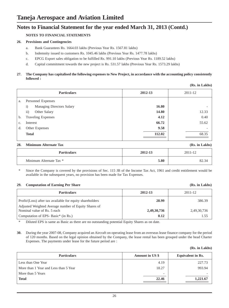#### **NOTES TO FINANCIAL STATEMENTS**

#### **26. Provisions and Contingencies**

- a. Bank Guarantees Rs. 1664.03 lakhs (Previous Year Rs. 1567.81 lakhs)
- b. Indemnity issued to customers Rs. 1045.46 lakhs (Previous Year Rs. 1477.78 lakhs)
- c. EPCG Export sales obligation to be fulfilled Rs. 991.10 lakhs (Previous Year Rs. 1189.52 lakhs)
- d. Capital commitment towards the new project is Rs. 531.57 lakhs (Previous Year Rs. 1573.29 lakhs)

#### **27. The Company has capitalised the following expenses to New Project, in accordance with the accounting policy consistently followed :**

|             |                                   |         | $\sqrt{-1}$              |
|-------------|-----------------------------------|---------|--------------------------|
|             | <b>Particulars</b>                | 2012-13 | 2011-12                  |
| a.          | Personnel Expenses                |         |                          |
|             | Managing Directors Salary<br>1)   | 16.80   | $\overline{\phantom{a}}$ |
|             | $\overline{ii}$ )<br>Other Salary | 14.80   | 12.33                    |
| b.          | <b>Traveling Expenses</b>         | 4.12    | 0.40                     |
| $C_{\star}$ | Interest                          | 66.72   | 55.62                    |
| d.          | Other Expenses                    | 9.58    | $\overline{\phantom{a}}$ |
|             | <b>Total</b>                      | 112.02  | 68.35                    |

#### **28. Minimum Alternate Tax (Rs. in Lakhs)**

| <b>Particulars</b>      | 2012-13 | 2011-12 |
|-------------------------|---------|---------|
| Minimum Alternate Tax * | 5.80    | 82      |

\* Since the Company is covered by the provisions of Sec. 115 JB of the Income Tax Act, 1961 and credit entitlement would be available in the subsequent years, no provision has been made for Tax Expenses.

#### **29. Computation of Earning Per Share (Rs. in Lakhs)**

| <b>Particulars</b>                                                                  | 2012-13     | 2011-12     |
|-------------------------------------------------------------------------------------|-------------|-------------|
| Profit/(Loss) after tax available for equity shareholders                           | 28.99       | 386.39      |
| Adjusted Weighted Average number of Equity Shares of<br>Nominal value of Rs. 5 each | 2,49,30,736 | 2,49,30,736 |
| Computation of EPS- Basic <sup>*</sup> (in Rs.)                                     | 0.12        | 1.55        |

\* Diluted EPS is same as Basic as there are no outstanding potential Equity Shares as on date.

**30.** During the year 2007-08, Company acquired an Aircraft on operating lease from an overseas lease finance company for the period of 120 months. Based on the legal opinion obtained by the Company, the lease rental has been grouped under the head Charter Expenses. The payments under lease for the future period are :

|  |  | (Rs. in Lakhs) |
|--|--|----------------|
|--|--|----------------|

| <b>Particulars</b>                    | <b>Amount in US \$</b>   | <b>Equivalent in Rs.</b> |
|---------------------------------------|--------------------------|--------------------------|
| Less than One Year                    | 4.19                     | 227.73                   |
| More than 1 Year and Less than 5 Year | 18.27                    | 993.94                   |
| More than 5 Years                     | $\overline{\phantom{0}}$ |                          |
| <b>Total</b>                          | 22.46                    | 1,221.67                 |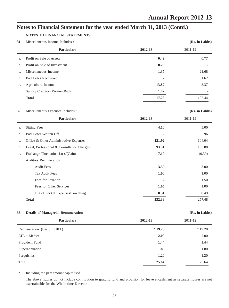#### **NOTES TO FINANCIAL STATEMENTS**

**31.** Miscellaneous Income Includes : **(Rs. in Lakhs)**

|                | <b>Particulars</b>            | 2012-13 | 2011-12 |
|----------------|-------------------------------|---------|---------|
| a.             | Profit on Sale of Assets      | 0.42    | 0.77    |
| $b$            | Profit on Sale of Investment  | 0.20    |         |
| C <sub>1</sub> | Miscellaneous Income          | 1.37    | 21.68   |
| $d$ .          | <b>Bad Debts Recovered</b>    | ۰       | 81.62   |
| e.             | Agriculture Income            | 13.87   | 3.37    |
| f.             | Sundry Creditors Written Back | 1.42    |         |
|                | <b>Total</b>                  | 17.28   | 107.44  |

#### **32.** Miscellaneous Expenses Includes : **(Rs. in Lakhs)**

## **Particulars** 2011-12 202012-13 2011-12 a. Sitting Fees 5.00 b. Bad Debts Written Off 5.96 c. Office & Other Administrative Expenses **121.92** 104.04 d. Legal, Professional & Consultancy Charges **93.31** 135.88 e. Exchange Fluctuation Loss/(Gain) **7.19** (0.39) f. Auditors Remuneration Audit Fees 3.00 Tax Audit Fees **1.00** 1.00 Fees for Taxation **1.50** Fees for Other Services **1.05** 1.00 Out of Pocket Expenses/Travelling **0.31** 0.49 **Total 232.38** 257.48

#### **33. Details of Managerial Remuneration (Rs. in Lakhs)**

| <b>Particulars</b>         | 2012-13  | 2011-12  |
|----------------------------|----------|----------|
| Remuneration (Basic + HRA) | $*19.20$ | $*19.20$ |
| $LTA + Medical$            | 2.00     | 2.00     |
| Provident Fund             | 1.44     | 1.44     |
| Superannuation             | 1.80     | 1.80     |
| Perquisites                | 1.20     | 1.20     |
| <b>Total</b>               | 25.64    | 25.64    |

\* Including the part amount capitalised

The above figures do not include contribution to gratuity fund and provision for leave encashment as separate figures are not ascertainable for the Whole-time Director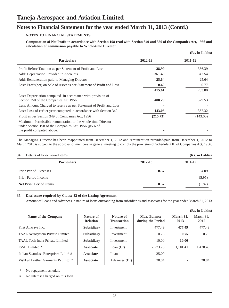#### **NOTES TO FINANCIAL STATEMENTS**

**Computation of Net Profit in accordance with Section 198 read with Section 349 and 350 of the Companies Act, 1956 and calculation of commission payable to Whole-time Director**

**(Rs. in Lakhs)**

| <b>Particulars</b>                                                                                                                                  | 2012-13  | 2011-12  |
|-----------------------------------------------------------------------------------------------------------------------------------------------------|----------|----------|
| Profit Before Taxation as per Statement of Profit and Loss                                                                                          | 28.99    | 386.39   |
| Add: Depreciation Provided in Accounts                                                                                                              | 361.40   | 342.54   |
| Add: Remuneration paid to Managing Director                                                                                                         | 25.64    | 25.64    |
| Less: Profit(net) on Sale of Asset as per Statement of Profit and Loss                                                                              | 0.42     | 0.77     |
|                                                                                                                                                     | 415.61   | 753.80   |
| Less: Depreciation computed in accordance with provision of<br>Section 350 of the Companies Act, 1956                                               | 488.29   | 529.53   |
| Less: Amount Charged to reserve as per Statement of Profit and Loss                                                                                 |          |          |
| Less: Loss of earlier year computed in accordance with Section 349                                                                                  | 143.05   | 367.32   |
| Profit as per Section 349 of Companies Act, 1956                                                                                                    | (215.73) | (143.05) |
| Maximum Permissible remuneration to the whole time Director<br>under Section 198 of the Companies Act, 1956 $@5\%$ of<br>the profit computed above. | ۰        |          |

The Managing Director has been reappointed from December 1, 2012 and remuneration provided/paid from December 1, 2012 to March 2013 is subject to the approval of members in general meeting to comply the provision of Schedule XIII of Companies Act, 1956.

#### **34.** Details of Prior Period items **(Rs. in Lakhs)**

| <b>Particulars</b>            | 2012-13 | 2011-12 |
|-------------------------------|---------|---------|
| Prior Period Expenses         | 0.57    | 4.09    |
| Prior Period Income           |         | (5.95)  |
| <b>Net Prior Period items</b> | 0.57    | (1.87   |

#### **35. Disclosure required by Clause 32 of the Listing Agreement**

Amount of Loans and Advances in nature of loans outstanding from subsidiaries and associates for the year ended March 31, 2013

|                                        |                              |                                 |                                   |                   | (Rs. in Lakhs)    |
|----------------------------------------|------------------------------|---------------------------------|-----------------------------------|-------------------|-------------------|
| Name of the Company                    | Nature of<br><b>Relation</b> | Nature of<br><b>Transaction</b> | Max. Balance<br>during the Period | March 31,<br>2013 | March 31,<br>2012 |
| First Airways Inc.                     | <b>Subsidiary</b>            | Investment                      | 477.49                            | 477.49            | 477.49            |
| <b>TAAL Aerosystem Private Limited</b> | <b>Subsidiary</b>            | Investment                      | 0.75                              | 0.75              | 0.75              |
| <b>TAAL Tech India Private Limited</b> | <b>Subsidiary</b>            | Investment                      | 10.00                             | 10.00             |                   |
| ISMT Limited *                         | <b>Associate</b>             | Loan $(Cr)$                     | 2,273.23                          | 1,101.41          | 1.420.48          |
| Indian Seamless Enterprises Ltd. * #   | <b>Associate</b>             | Loan                            | 25.00                             | -                 |                   |
| Vishkul Leather Garments Pvt. Ltd. *   | <b>Associate</b>             | Advances (Dr)                   | 28.84                             |                   | 28.84             |

\* No repayment schedule

# No interest Charged on this loan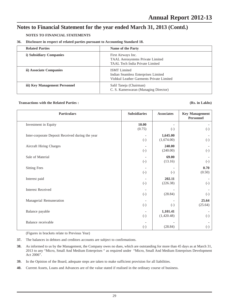#### **NOTES TO FINANCIAL STATEMENTS**

| 36. Disclosure in respect of related parties pursuant to Accounting Standard 18. |  |  |  |
|----------------------------------------------------------------------------------|--|--|--|
|                                                                                  |  |  |  |

| <b>Related Parties</b>        | Name of the Party                                                                                       |
|-------------------------------|---------------------------------------------------------------------------------------------------------|
| i) Subsidiary Companies       | First Airways Inc.<br><b>TAAL Aerosystems Private Limited</b><br><b>TAAL Tech India Private Limited</b> |
| ii) Associate Companies       | <b>ISMT</b> Limited<br>Indian Seamless Enterprises Limited<br>Vishkul Leather Garments Private Limited  |
| iii) Key Management Personnel | Salil Taneja (Chairman)<br>C. S. Kameswaran (Managing Director)                                         |

#### **Transactions with the Related Parties : (Rs. in Lakhs)**

| <b>Particulars</b>                               | <b>Subsidiaries</b> | <b>Associates</b>      | <b>Key Management</b><br>Personnel |
|--------------------------------------------------|---------------------|------------------------|------------------------------------|
| Investment in Equity                             | 10.00<br>(0.75)     | $(-)$                  | $(-)$                              |
| Inter-corporate Deposit Received during the year | ٠<br>$(-)$          | 1,645.00<br>(1,674.00) | $(-)$                              |
| Aircraft Hiring Charges                          | $(-)$               | 240.00<br>(240.00)     | $(-)$                              |
| Sale of Material                                 | $(-)$               | 69.00<br>(13.16)       | $(-)$                              |
| <b>Sitting Fees</b>                              | ٠<br>$(-)$          | ٠<br>$(-)$             | 0.70<br>(0.50)                     |
| Interest paid                                    | $(-)$               | 202.11<br>(226.38)     | $(-)$                              |
| <b>Interest Received</b>                         | $(-)$               | (28.84)                | $\left( -\right)$                  |
| Managerial Remuneration                          | $(-)$               | $(-)$                  | 25.64<br>(25.64)                   |
| Balance payable                                  | $(-)$               | 1,101.41<br>(1,420.48) | $(-)$                              |
| Balance receivable                               | $(-)$               | (28.84)                | $(\text{-})$                       |

(Figures in brackets relate to Previous Year)

**37.** The balances in debtors and creditors accounts are subject to confirmations.

**38.** As informed to us by the Management, the Company owes no dues, which are outstanding for more than 45 days as at March 31, 2013 to any "Micro, Small And Medium Enterprises " as required under "Micro, Small And Medium Enterprises Development Act 2006".

**39.** In the Opinion of the Board, adequate steps are taken to make sufficient provision for all liabilities.

**40.** Current Assets, Loans and Advances are of the value stated if realised in the ordinary course of business.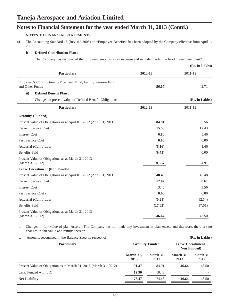## **Notes to Financial Statement for the year ended March 31, 2013 (Contd.)**

#### **NOTES TO FINANCIAL STATEMENTS**

**41** The Accounting Standard 15 (Revised 2005) on "Employee Benefits" has been adopted by the Company effective from April 1, 2007.

#### **i) Defined Contribution Plan :**

The Company has recognized the following amounts as an expense and included under the head " Personnel Cost" .

|  | (Rs. in Lakhs) |
|--|----------------|
|  |                |

| <b>Particulars</b>                                                                       | 2012-13 | 2011-12 |
|------------------------------------------------------------------------------------------|---------|---------|
| <b>Employer's Contribution to Provident Fund, Family Pension Fund</b><br>and Other Funds | 56.67   |         |

#### **ii) Defined Benefit Plan :**

#### a. Changes in present value of Defined Benefit Obligations : **(Rs. in Lakhs)**

| <b>Particulars</b>                                                    | 2012-13 | 2011-12 |
|-----------------------------------------------------------------------|---------|---------|
| <b>Gratuity (Funded)</b>                                              |         |         |
| Present Value of Obligations as at April 01, 2012 (April 01, 2011)    | 84.91   | 65.56   |
| <b>Current Service Cost</b>                                           | 15.56   | 12.43   |
| Interest Cost                                                         | 6.80    | 5.46    |
| Past Service Cost                                                     | 0.00    | 0.00    |
| Actuarial (Gain)/ Loss                                                | (6.16)  | 1.46    |
| <b>Benefits</b> Paid                                                  | (9.75)  | 0.00    |
| Present Value of Obligations as at March 31, 2013<br>(March 31, 2012) | 91.37   | 84.91   |
| <b>Leave Encashment (Non Funded)</b>                                  |         |         |
| Present Value of Obligations as at April 01, 2012 (April 01, 2011)    | 48.49   | 46.48   |
| <b>Current Service Cost</b>                                           | 12.07   | 8.61    |
| Interest Cost                                                         | 3.40    | 3.56    |
| Past Service Cost -                                                   | 0.00    | 0.00    |
| Actuarial (Gain)/ Loss                                                | (0.28)  | (2.54)  |
| <b>Benefits</b> Paid                                                  | (17.05) | (7.61)  |
| Present Value of Obligations as at March 31, 2013<br>(March 31, 2012) | 46.64   | 48.50   |

b. Changes in fair value of plan Assets : The Company has not made any investment in plan Assets and therefore, there are no changes in fair value and returns thereon.

c. Amounts recognised in the Balance Sheet in respect of : **(Rs. in Lakhs)**

| <b>Particulars</b>                                                |                   | <b>Gratuity Funded</b> | <b>Leave Encashment</b><br>(Non Funded) |                   |
|-------------------------------------------------------------------|-------------------|------------------------|-----------------------------------------|-------------------|
|                                                                   | March 31,<br>2013 | March 31,<br>2012      | March 31,<br>2013                       | March 31,<br>2012 |
| Present Value of Obligation as at March 31, 2013 (March 31, 2012) | 91.37             | 84.91                  | 46.64                                   | 48.50             |
| Less: Funded with LIC                                             | 12.90             | 10.43                  |                                         |                   |
| Net Liability                                                     | 78.47             | 74.48                  | 46.64                                   | 48.50             |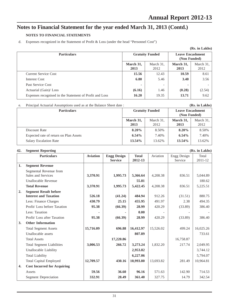## **NOTES TO FINANCIAL STATEMENTS**

d. Expenses recognized in the Statement of Profit & Loss (under the head "Personnel Cost")

|                                                         |                        |                          |                                         | (Rs. in Lakhs)    |
|---------------------------------------------------------|------------------------|--------------------------|-----------------------------------------|-------------------|
| <b>Particulars</b>                                      | <b>Gratuity Funded</b> |                          | <b>Leave Encashment</b><br>(Non Funded) |                   |
|                                                         | March 31,<br>2013      | March 31,<br>2012        | March 31,<br>2013                       | March 31,<br>2012 |
| Current Service Cost                                    | 15.56                  | 12.43                    | 10.59                                   | 8.61              |
| Interest Cost                                           | 6.80                   | 5.46                     | 3.40                                    | 3.56              |
| Past Service Cost                                       |                        | $\overline{\phantom{a}}$ |                                         |                   |
| Actuarial (Gain)/ Loss                                  | (6.16)                 | 1.46                     | (0.28)                                  | (2.54)            |
| Expenses recognised in the Statement of Profit and Loss | 16.20                  | 19.35                    | 13.71                                   | 9.62              |

### e. Principal Actuarial Assumptions used as at the Balance Sheet date : **(Rs. in Lakhs)**

| <b>Leave Encashment</b><br>(Non Funded)  |  |
|------------------------------------------|--|
| March 31,<br>2012                        |  |
| 8.50%                                    |  |
| 7.40%                                    |  |
| 13.62%                                   |  |
| March 31,<br>8.20%<br>$6.54\%$<br>13.54% |  |

| 42.              | <b>Segment Reporting</b>                                     |                 |                                      |                         |           |                        | (Rs. in Lakhs)   |
|------------------|--------------------------------------------------------------|-----------------|--------------------------------------|-------------------------|-----------|------------------------|------------------|
|                  | <b>Particulars</b>                                           | <b>Aviation</b> | <b>Engg Design</b><br><b>Service</b> | <b>Total</b><br>2012-13 | Aviation  | Engg Design<br>Service | Total<br>2011-12 |
| 1.               |                                                              |                 |                                      |                         |           |                        |                  |
|                  | <b>Segment Revenue</b>                                       |                 |                                      |                         |           |                        |                  |
|                  | Segmental Revenue from<br>Sales and Services                 | 3,370.91        | 1,995.73                             | 5,366.64                | 4,208.38  | 836.51                 | 5,044.89         |
|                  | Unallocable Revenue                                          |                 |                                      | 55.81                   |           |                        | 180.62           |
|                  | <b>Total Revenue</b>                                         | 3,370.91        | 1,995.73                             | 5,422.45                | 4,208.38  | 836.51                 | 5,225.51         |
| 2.               |                                                              |                 |                                      |                         |           |                        |                  |
|                  | <b>Segment Result before</b><br><b>Interest and Taxation</b> | 526.18          | (41.24)                              | 484.94                  | 912.26    | (31.51)                | 880.75           |
|                  | Less: Finance Charges                                        | 430.79          | 25.15                                | 455.95                  | 491.97    | 2.38                   | 494.35           |
|                  | Profit/Loss before Taxation                                  | 95.38           | (66.39)                              | 28.99                   | 420.29    | (33.89)                | 386.40           |
|                  | Less: Taxation                                               |                 |                                      | 0.00                    |           |                        |                  |
|                  | Profit/Loss after Taxation                                   | 95.38           | (66.39)                              | 28.99                   | 420.29    | (33.89)                | 386.40           |
| 3.               | <b>Other Information</b>                                     |                 |                                      |                         |           |                        |                  |
|                  | <b>Total Segment Assets</b>                                  | 15,716.09       | 696.88                               | 16,412.97               | 15,526.02 | 499.24                 | 16,025.26        |
|                  | Unallocable assets                                           |                 |                                      | 807.89                  |           |                        | 733.61           |
|                  | <b>Total Assets</b>                                          |                 | 17,220.86                            |                         |           | 16,758.87              |                  |
|                  | <b>Total Segment Liabilities</b>                             | 3,006.53        | 266.72                               | 3,273.24                | 1,832.20  | 217.74                 | 2,049.95         |
|                  | Unallocable Liability                                        |                 |                                      | 2,953.82                |           |                        | 3,744.12         |
|                  | <b>Total Liability</b>                                       |                 |                                      | 6,227.06                |           |                        | 5,794.07         |
|                  | <b>Total Capital Employed</b>                                | 12,709.57       | 430.16                               | 10,993.80               | 13,693.82 | 281.49                 | 10,964.81        |
| $\overline{4}$ . | <b>Cost Incurred for Acquiring</b>                           |                 |                                      |                         |           |                        |                  |
|                  | Assets                                                       | 59.56           | 36.60                                | 96.16                   | 571.63    | 142.90                 | 714.53           |
|                  | Segment Depreciation                                         | 332.91          | 28.49                                | 361.40                  | 327.75    | 14.79                  | 342.54           |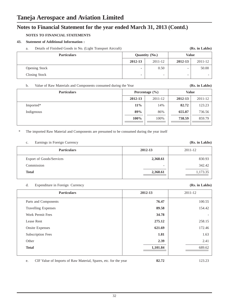### **NOTES TO FINANCIAL STATEMENTS**

### **43. Statement of Additional Information :**

a. Details of Finished Goods in No. (Light Transport Aircraft) **(Rs. in Lakhs)**

| <b>Particulars</b> | <b>Quantity (No.)</b> |                          |         |         | Value |  |
|--------------------|-----------------------|--------------------------|---------|---------|-------|--|
|                    | 2012-13               | 2011-12                  | 2012-13 | 2011-12 |       |  |
| Opening Stock      |                       | 0.50                     |         | 50.00   |       |  |
| Closing Stock      |                       | $\overline{\phantom{0}}$ |         |         |       |  |

### b. Value of Raw Materials and Components consumed during the Year **(Rs. in Lakhs)**

| <b>Particulars</b> | Percentage $(\% )$ |         | <b>Value</b> |         |
|--------------------|--------------------|---------|--------------|---------|
|                    | 2012-13            | 2011-12 | 2012-13      | 2011-12 |
| Imported*          | 11%                | 14%     | 82.72        | 123.23  |
| Indigenous         | 89%                | 86%     | 655.87       | 736.56  |
|                    | 100%               | 100%    | 738.59       | 859.79  |
|                    |                    |         |              |         |

\* The imported Raw Material and Components are presumed to be consumed during the year itself

| Earnings in Foreign Currency<br>(Rs. in Lakhs)<br>c. |          |          |  |  |
|------------------------------------------------------|----------|----------|--|--|
| <b>Particulars</b>                                   | 2012-13  | 2011-12  |  |  |
| <b>Export of Goods/Services</b>                      | 2,368.61 | 830.93   |  |  |
| Commission                                           | ۰        | 342.42   |  |  |
| <b>Total</b>                                         | 2,368.61 | 1,173.35 |  |  |

#### d. Expenditure in Foreign Currency **(Rs. in Lakhs)**

| <b>Particulars</b>                                                    | 2012-13  | 2011-12 |
|-----------------------------------------------------------------------|----------|---------|
| Parts and Components                                                  | 76.47    | 100.55  |
| <b>Travelling Expenses</b>                                            | 89.58    | 154.42  |
| Work Permit Fees                                                      | 34.78    |         |
| Lease Rent                                                            | 275.12   | 258.15  |
| <b>Onsite Expenses</b>                                                | 621.69   | 172.46  |
| Subscription Fees                                                     | 1.81     | 1.63    |
| Other                                                                 | 2.39     | 2.41    |
| <b>Total</b>                                                          | 1,101.84 | 689.62  |
| CIF Value of Imports of Raw Material, Spares, etc. for the year<br>e. | 82.72    | 123.23  |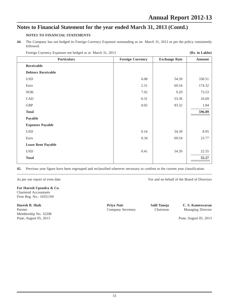### **NOTES TO FINANCIAL STATEMENTS**

**44.** The Company has not hedged its Foreign Currency Exposure outstanding as on March 31, 2013 as per the policy consistently followed.

| <b>Particulars</b>        | <b>Foreign Currency</b> | <b>Exchange Rate</b> | Amount |
|---------------------------|-------------------------|----------------------|--------|
| Receivable                |                         |                      |        |
| <b>Debtors Receivable</b> |                         |                      |        |
| <b>USD</b>                | 6.08                    | 54.39                | 330.51 |
| Euro                      | 2.51                    | 69.54                | 174.32 |
| <b>NOK</b>                | 7.92                    | 9.29                 | 73.53  |
| CAD                       | 0.31                    | 53.36                | 16.69  |
| GBP                       | 0.02                    | 83.32                | 1.84   |
| <b>Total</b>              |                         |                      | 596.89 |
| Payable                   |                         |                      |        |
| <b>Expenses Payable</b>   |                         |                      |        |
| <b>USD</b>                | 0.16                    | 54.39                | 8.95   |
| Euro                      | 0.34                    | 69.54                | 23.77  |
| <b>Lease Rent Payable</b> |                         |                      |        |
| <b>USD</b>                | 0.41                    | 54.39                | 22.55  |
| <b>Total</b>              |                         |                      | 55.27  |

**45.** Previous year figure have been regrouped and reclassified wherever necessary to confirm to the current year classification.

As per our report of even date For and on behalf of the Board of Directors

**For Haresh Upendra & Co.** Chartered Accountants

Firm Reg. No.: 103513W

**Haresh B. Shah Priya Nair Salil Taneja C. S. Kameswaran** Partner Company Secretary Chairman Managing Director Membership No. 32208<br>Pune, August 05, 2013

Pune, August 05, 2013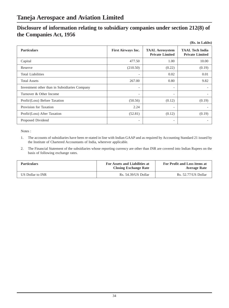## **Disclosure of information relating to subsidiary companies under section 212(8) of the Companies Act, 1956**

**(Rs. in Lakhs)**

| (RS. In Lakns)                                |                           |                                                  |                                                  |  |
|-----------------------------------------------|---------------------------|--------------------------------------------------|--------------------------------------------------|--|
| <b>Particulars</b>                            | <b>First Airways Inc.</b> | <b>TAAL Aerosystem</b><br><b>Private Limited</b> | <b>TAAL Tech India</b><br><b>Private Limited</b> |  |
| Capital                                       | 477.50                    | 1.00                                             | 10.00                                            |  |
| Reserve                                       | (210.50)                  | (0.22)                                           | (0.19)                                           |  |
| <b>Total Liabilities</b>                      | $\overline{\phantom{a}}$  | 0.02                                             | 0.01                                             |  |
| <b>Total Assets</b>                           | 267.00                    | 0.80                                             | 9.82                                             |  |
| Investment other than in Subsidiaries Company | $\overline{\phantom{a}}$  | $\overline{\phantom{a}}$                         |                                                  |  |
| Turnover & Other Income                       | $\overline{\phantom{a}}$  | $\overline{\phantom{a}}$                         |                                                  |  |
| Profit/(Loss) Before Taxation                 | (50.56)                   | (0.12)                                           | (0.19)                                           |  |
| Provision for Taxation                        | 2.24                      | $\overline{\phantom{a}}$                         |                                                  |  |
| Profit/(Loss) After Taxation                  | (52.81)                   | (0.12)                                           | (0.19)                                           |  |
| Proposed Dividend                             |                           | $\overline{\phantom{a}}$                         |                                                  |  |

Notes :

- 1. The accounts of subsidiaries have been re-stated in line with Indian GAAP and as required by Accounting Standard 21 issued by the Institute of Chartered Accountants of India, wherever applicable.
- 2. The Financial Statement of the subsidiaries whose reporting currency are other than INR are covered into Indian Rupees on the basis of following exchange rates.

| <b>Particulars</b> | <b>For Assets and Liabilities at</b><br><b>Closing Exchange Rate</b> | For Profit and Loss items at<br><b>Average Rate</b> |
|--------------------|----------------------------------------------------------------------|-----------------------------------------------------|
| US Dollar to INR   | Rs. 54.39/US Dollar                                                  | Rs. 52.77/US Dollar                                 |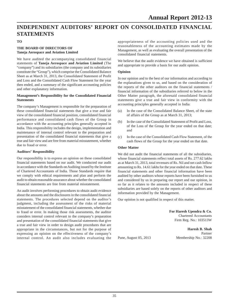## **INDEPENDENT AUDITORS' REPORT ON CONSOLIDATED FINANCIAL STATEMENTS**

#### **TO**

#### **THE BOARD OF DIRECTORS OF Taneja Aerospace and Aviation Limited**

We have audited the accompanying consolidated financial statements of **Taneja Aerospace and Aviation Limited** (The "company") and its subsidiaries (the company and its subsidiaries constitute the "Group"), which comprise the Consolidated Balance Sheet as at March 31, 2013, the Consolidated Statement of Profit and Loss and the Consolidated Cash Flow Statement for the year then ended, and a summary of the significant accounting policies and other explanatory information.

#### **Management's Responsibility for the Consolidated Financial Statements**

The company's Management is responsible for the preparation of these consolidated financial statements that give a true and fair view of the consolidated financial position, consolidated financial performance and consolidated cash flows of the Group in accordance with the accounting principles generally accepted in India. This responsibility includes the design, implementation and maintenance of internal control relevant to the preparation and presentation of the consolidated financial statements that give a true and fair view and are free from material misstatement, whether due to fraud or error.

#### **Auditors' Responsibility**

Our responsibility is to express an opinion on these consolidated financial statements based on our audit. We conducted our audit in accordance with the Standards on Auditing issued by the Institute of Chartered Accountants of India. Those Standards require that we comply with ethical requirements and plan and perform the audit to obtain reasonable assurance about whether the consolidated financial statements are free from material misstatement.

An audit involves performing procedures to obtain audit evidence about the amounts and the disclosures in the consolidated financial statements. The procedures selected depend on the auditor's judgment, including the assessment of the risks of material misstatement of the consolidated financial statements, whether due to fraud or error. In making those risk assessments, the auditor considers internal control relevant to the company's preparation and presentation of the consolidated financial statements that give a true and fair view in order to design audit procedures that are appropriate in the circumstances, but not for the purpose of expressing an opinion on the effectiveness of the company's internal control. An audit also includes evaluating the appropriateness of the accounting policies used and the reasonableness of the accounting estimates made by the Management, as well as evaluating the overall presentation of the consolidated financial statements.

We believe that the audit evidence we have obtained is sufficient and appropriate to provide a basis for our audit opinion.

#### **Opinion**

In our opinion and to the best of our information and according to the explanations given to us, and based on the consideration of the reports of the other auditors on the financial statements / financial information of the subsidiaries referred to below in the Other Matter paragraph, the aforesaid consolidated financial statements give a true and fair view in conformity with the accounting principles generally accepted in India:

- (a) In the case of the Consolidated Balance Sheet, of the state of affairs of the Group as at March 31, 2013;
- (b) In the case of the Consolidated Statement of Profit and Loss, of the Loss of the Group for the year ended on that date; and
- (c) In the case of the Consolidated Cash Flow Statement, of the cash flows of the Group for the year ended on that date.

#### **Other Matter**

We did not audit the financial statements of all the subsidiaries, whose financial statements reflect total assets of Rs. 277.62 lakhs as at March 31, 2013, total revenues of Rs. Nil and net cash Inflow amounting to Rs. 14.61 lakhs for the year ended on that date. These financial statements and other financial information have been audited by other auditors whose reports have been furnished to us and considered by us in preparing our report and our opinion, in so far as it relates to the amounts included in respect of these subsidiaries are based solely on the reports of other auditors and information provided by the Management.

Our opinion is not qualified in respect of this matter.

**For Haresh Upendra & Co.** Chartered Accountants Firm Reg. No.: 103513W

**Haresh B. Shah** Partner Pune, August 05, 2013 Membership No.: 32208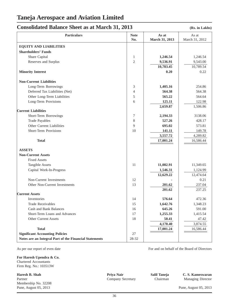## **Consolidated Balance Sheet as at March 31, 2013 (Rs. in Lakhs)**

| <b>Particulars</b>                                     | <b>Note</b><br>No. | As at<br>March 31, 2013 | As at<br>March 31, 2012 |
|--------------------------------------------------------|--------------------|-------------------------|-------------------------|
| <b>EQUITY AND LIABILITIES</b>                          |                    |                         |                         |
| <b>Shareholders' Funds</b>                             |                    |                         |                         |
| Share Capital                                          | $\mathbf{1}$       | 1,246.54                | 1,246.54                |
| Reserves and Surplus                                   | $\overline{2}$     | 9,536.91                | 9,543.00                |
|                                                        |                    | 10,783.45               | 10,789.54               |
| <b>Minority Interest</b>                               |                    | 0.20                    | 0.22                    |
| <b>Non-Current Liabilities</b>                         |                    |                         |                         |
| Long-Term Borrowings                                   | 3                  | 1,405.16                | 254.86                  |
| Deferred Tax Liabilities (Net)                         | $\overline{4}$     | 564.38                  | 564.38                  |
| Other Long-Term Liabilities                            | 5                  | 565.22                  | 564.64                  |
| Long-Term Provisions                                   | 6                  | 125.11                  | 122.98                  |
|                                                        |                    | 2,659.87                | 1,506.86                |
| <b>Current Liabilities</b>                             |                    |                         |                         |
| Short-Term Borrowings                                  | 7                  | 2,194.33                | 3138.06                 |
| <b>Trade Payables</b>                                  | 8                  | 527.26                  | 428.17                  |
| Other Current Liabilities                              | 9                  | 695.02                  | 573.81                  |
| Short-Term Provisions                                  | 10                 | 141.11                  | 149.78                  |
|                                                        |                    | 3,557.72                | 4,289.82                |
| <b>Total</b>                                           |                    | 17,001.24               | 16,586.44               |
| <b>ASSETS</b>                                          |                    |                         |                         |
| <b>Non-Current Assets</b>                              |                    |                         |                         |
| <b>Fixed Assets</b>                                    |                    |                         |                         |
| Tangible Assets                                        | 11                 | 11,082.91               | 11,349.65               |
| Capital Work-In-Progress                               |                    | 1,546.31                | 1,124.99                |
|                                                        |                    | 12,629.22               | 12,474.64               |
| Non-Current Investments                                | 12                 |                         | 0.21                    |
| Other Non-Current Investments                          | 13                 | 201.62                  | 237.04                  |
|                                                        |                    | 201.62                  | 237.25                  |
| <b>Current Assets</b>                                  |                    |                         |                         |
| Inventories                                            | 14                 | 576.64                  | 472.36                  |
| <b>Trade Receivables</b>                               | 15                 | 1,642.76                | 1,348.23                |
| Cash and Bank Balances                                 | 16                 | 645.26                  | 591.00                  |
| Short-Term Loans and Advances                          | 17                 | 1,255.33                | 1,415.54                |
| <b>Other Current Assets</b>                            | 18                 | 50.41<br>4,170.40       | 47.42                   |
| <b>Total</b>                                           |                    | 17,001.24               | 3,874.55<br>16,586.44   |
| <b>Significant Accounting Policies</b>                 | 27                 |                         |                         |
| Notes are an Integral Part of the Financial Statements | 28-32              |                         |                         |

As per our report of even date For and on behalf of the Board of Directors

**For Haresh Upendra & Co.** Chartered Accountants Firm Reg. No.: 103513W

**Haresh B. Shah Priya Nair Salil Taneja C. S. Kameswaran** Partner **Company Secretary Chairman Managing Director** Membership No. 32208 Pune, August 05, 2013 Pune, August 05, 2013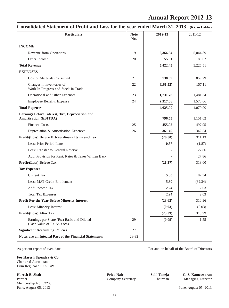| <b>Particulars</b>                                                              | <b>Note</b><br>No. | 2012-13  | 2011-12  |
|---------------------------------------------------------------------------------|--------------------|----------|----------|
| <b>INCOME</b>                                                                   |                    |          |          |
| Revenue from Operations                                                         | 19                 | 5,366.64 | 5,044.89 |
| Other Income                                                                    | 20                 | 55.81    | 180.62   |
| <b>Total Revenue</b>                                                            |                    | 5,422.45 | 5,225.51 |
| <b>EXPENSES</b>                                                                 |                    |          |          |
| <b>Cost of Materials Consumed</b>                                               | 21                 | 738.59   | 859.79   |
| Changes in inventories of<br>Work-In-Progress and Stock-In-Trade                | 22                 | (161.52) | 157.11   |
| Operational and Other Expenses                                                  | 23                 | 1,731.78 | 1,481.34 |
| Employee Benefits Expense                                                       | 24                 | 2,317.06 | 1,575.66 |
| <b>Total Expenses</b>                                                           |                    | 4,625.90 | 4,070.90 |
| Earnings Before Interest, Tax, Depreciation and<br><b>Amortisation (EBITDA)</b> |                    | 796.55   | 1,151.62 |
| <b>Finance Costs</b>                                                            | 25                 | 455.95   | 497.95   |
| Depreciation & Amortisation Expenses                                            | 26                 | 361.40   | 342.54   |
| Profit/(Loss) Before Extraordinary Items and Tax                                |                    | (20.80)  | 311.13   |
| Less: Prior Period Items                                                        |                    | 0.57     | (1.87)   |
| Less: Transfer to General Reserve                                               |                    |          | 27.86    |
| Add: Provision for Rent, Rates & Taxes Written Back                             |                    |          | 27.86    |
| Profit/(Loss) Before Tax                                                        |                    | (21.37)  | 313.00   |
| <b>Tax Expenses</b>                                                             |                    |          |          |
| <b>Current Tax</b>                                                              |                    | 5.80     | 82.34    |
| Less: MAT Credit Entitlement                                                    |                    | 5.80     | (82.34)  |
| Add: Income Tax                                                                 |                    | 2.24     | 2.03     |
| <b>Total Tax Expenses</b>                                                       |                    | 2.24     | 2.03     |
| Profit For the Year Before Minority Interest                                    |                    | (23.62)  | 310.96   |
| Less: Minority Interest                                                         |                    | (0.03)   | (0.03)   |
| Profit/(Loss) After Tax                                                         |                    | (23.59)  | 310.99   |
| Earnings per Share (Rs.) Basic and Diluted<br>(Face Value of Rs. 5/- each)      | 29                 | (0.09)   | 1.55     |
| <b>Significant Accounting Policies</b>                                          | 27                 |          |          |
| Notes are an Integral Part of the Financial Statements                          | 28-32              |          |          |

As per our report of even date For and on behalf of the Board of Directors

**For Haresh Upendra & Co.** Chartered Accountants Firm Reg. No.: 103513W

**Haresh B. Shah Priya Nair Salil Taneja C. S. Kameswaran** Partner **Company Secretary Chairman Managing Director** Membership No. 32208 Pune, August 05, 2013 Pune, August 05, 2013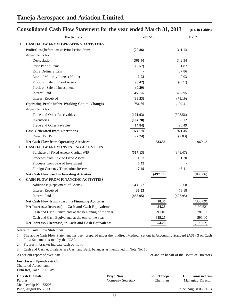|   | <b>Particulars</b>                                     |          | 2012-13  |          | 2011-12  |
|---|--------------------------------------------------------|----------|----------|----------|----------|
| A | <b>CASH FLOW FROM OPERATING ACTIVITIES</b>             |          |          |          |          |
|   | Profit/(Loss) before tax & Prior Period Items          | (20.86)  |          | 311.13   |          |
|   | Adjustments for :                                      |          |          |          |          |
|   | Depreciation                                           | 361.40   |          | 342.54   |          |
|   | Prior Period Items                                     | (0.57)   |          | 1.87     |          |
|   | Extra Ordinary Item                                    |          |          | 27.86    |          |
|   | Loss of Minority Interset Holder                       | 0.03     |          | 0.03     |          |
|   | Profit on Sale of Fixed Assets                         | (0.42)   |          | (0.77)   |          |
|   | Profit on Sale of Investment                           | (0.20)   |          |          |          |
|   | <b>Interest Paid</b>                                   | 455.95   |          | 497.95   |          |
|   | <b>Interest Received</b>                               | (38.53)  |          | (73.19)  |          |
|   | <b>Operating Profit before Working Capital Changes</b> | 756.86   |          | 1,107.41 |          |
|   | Adjustments for :                                      |          |          |          |          |
|   | Trade and Other Receivables                            | (101.93) |          | (303.56) |          |
|   | <b>Inventories</b>                                     | (104.28) |          | 69.12    |          |
|   | Trade and Other Payables                               | (14.84)  |          | 98.49    |          |
|   | <b>Cash Generated from Operations</b>                  | 535.80   |          | 971.45   |          |
|   | Direct Tax Paid                                        | (2.24)   |          | (2.03)   |          |
|   | <b>Net Cash Flow from Operating Activities</b>         |          | 533.56   |          | 969.43   |
| B | <b>CASH FLOW FROM INVESTING ACTIVITIES</b>             |          |          |          |          |
|   | Purchase of Fixed Assets/ Capital WIP                  | (517.13) |          | (848.47) |          |
|   | Proceeds from Sale of Fixed Assets                     | 1.57     |          | 1.20     |          |
|   | Proceeds from Sale of Investment                       | 0.42     |          |          |          |
|   | Foreign Currency Translation Reserve                   | 17.49    |          | 43.41    |          |
|   | Net Cash Flow used in Investing Activities             |          | (497.65) |          | (803.86) |
| C | <b>CASH FLOW FROM FINANCING ACTIVITIES</b>             |          |          |          |          |
|   | Additions/ (Repayment of Loans)                        | 435.77   |          | 68.68    |          |
|   | <b>Interest Received</b>                               | 38.53    |          | 73.18    |          |
|   | <b>Interest Paid</b>                                   | (455.95) |          | (497.95) |          |
|   | Net Cash Flow from/ (used in) Financing Activities     |          | 18.35    |          | (356.09) |
|   | Net Increase/(Decrease) in Cash and Cash Equivalents   |          | 54.26    |          | (190.52) |
|   | Cash and Cash Equivalents at the beginning of the year |          | 591.00   |          | 781.52   |
|   | Cash and Cash Equivalents at the end of the year       |          | 645.26   |          | 591.00   |
|   | Net Increase/ (Decrease) in Cash and Cash Equivalents  |          | 54.26    |          | (190.52) |

## **Consolidated Cash Flow Statement for the year ended March 31, 2013 (Rs. in Lakhs)**

#### **Notes to Cash Flow Statement**

1 The above Cash Flow Statement has been prepared under the "Indirect Method" set out in Accounting Standard (AS) - 3 on Cash Flow Statement issued by the ICAI.

2 Figures in bracket indicate cash outflow.

3 Cash and Cash equivalents are Cash and Bank balances as mentioned in Note No. 16.

As per our report of even date For and on behalf of the Board of Directors **For Haresh Upendra & Co.** Chartered Accountants Firm Reg. No.: 103513W **Haresh B. Shah Priya Nair Salil Taneja C. S. Kameswaran** Partner **Company Secretary Chairman Managing Director** Membership No. 32208 Pune, August 05, 2013 Pune, August 05, 2013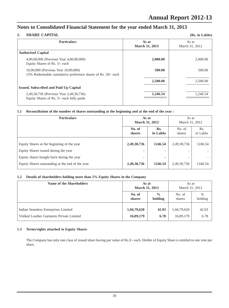#### **1. SHARE CAPITAL (Rs. in Lakhs)**

| <b>Particulars</b>                                                                                  | As at<br><b>March 31, 2013</b> | As at<br>March 31, 2012 |
|-----------------------------------------------------------------------------------------------------|--------------------------------|-------------------------|
| <b>Authorised Capital</b>                                                                           |                                |                         |
| 4,00,00,000 (Previous Year 4,00,00,000)<br>Equity Shares of Rs. 5/- each                            | 2,000.00                       | 2,000.00                |
| 10,00,000 (Previous Year 10,00,000)<br>15% Redeemable cumulative preference shares of Rs. 50/- each | 500.00                         | 500.00                  |
|                                                                                                     | 2,500.00                       | 2,500.00                |
| Issued, Subscribed and Paid Up Capital                                                              |                                |                         |
| 2,49,30,736 (Previous Year 2,49,30,736)<br>Equity Shares of Rs. 5/- each fully paids                | 1,246.54                       | 1,246.54                |

#### **1.1 Reconciliation of the number of shares outstanding at the beginning and at the end of the year :**

| <b>Particulars</b>                                                                | As at<br><b>March 31, 2013</b> |                 | As at<br>March 31, 2012 |                 |
|-----------------------------------------------------------------------------------|--------------------------------|-----------------|-------------------------|-----------------|
|                                                                                   | No. of<br>shares               | Rs.<br>in Lakhs | No. of<br>shares        | Rs.<br>in Lakhs |
| Equity Shares at the beginning of the year                                        | 2,49,30,736                    | 1246.54         | 2,49,30,736             | 1246.54         |
| Equity Shares issued during the year<br>Equity shares bought back during the year | $\blacksquare$                 | ۰               |                         |                 |
| Equity Shares outstanding at the end of the year                                  | 2,49,30,736                    | 1246.54         | 2,49,30,736             | 1246.54         |

#### **1.2 Details of shareholders holding more than 5% Equity Shares in the Company**

| Name of the Shareholders                 | As at<br>March 31, 2013 |               | As at<br>March 31, 2012 |         |
|------------------------------------------|-------------------------|---------------|-------------------------|---------|
|                                          | No. of                  | $\frac{0}{0}$ | No. of                  | $\%$    |
|                                          | shares                  | holding       | shares                  | holding |
| Indian Seamless Enterprises Limited      | 1,04,79,620             | 42.03         | 1,04,79,620             | 42.03   |
| Vishkul Leather Garments Private Limited | 16,89,179               | 6.78          | 16,89,179               | 6.78    |

#### **1.3 Terms/rights attached to Equity Shares**

The Company has only one class of issued share having par value of Rs.5/- each. Holder of Equity Share is entitled to one vote per share.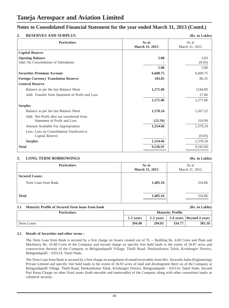## **Notes to Consolidated Financial Statement for the year ended March 31, 2013 (Contd.)**

#### **2. RESERVES AND SURPLUS (Rs. in Lakhs)**

| <b>Particulars</b>                              | As at<br>March 31, 2013 | As at<br>March 31, 2012 |
|-------------------------------------------------|-------------------------|-------------------------|
| <b>Capital Reserve</b>                          |                         |                         |
| <b>Opening Balance</b>                          | 5.80                    | 5.83                    |
| Add: On Consolidation of Subsidaries            |                         | (0.03)                  |
|                                                 | 5.80                    | 5.80                    |
| <b>Securities Premium Account</b>               | 6,600.75                | 6,600.75                |
| <b>Foreign Currency Translation Reserve</b>     | 103.85                  | 86.35                   |
| <b>General Reserve</b>                          |                         |                         |
| Balance as per the last Balance Sheet           | 1,271.86                | 1244.00                 |
| Add: Transfer from Statement of Profit and Loss |                         | 27.86                   |
|                                                 | 1,271.86                | 1,271.86                |
| <b>Surplus</b>                                  |                         |                         |
| Balance as per the last Balance Sheet           | 1,578.24                | 1,267.22                |
| Add: Net Profit after tax transferred from      |                         |                         |
| Statement of Profit and Loss                    | (23.59)                 | 310.99                  |
| Amount Available For Appropriation              | 1,554.66                | 1,578.24                |
| Less: Loss on Consolidation Trasferred to       |                         |                         |
| Capital Reserve                                 |                         | (0.03)                  |
| <b>Surplus</b>                                  | 1,554.66                | 1,578.24                |
| <b>Total</b>                                    | 9,536.91                | 9,543.00                |

#### **3. LONG TERM BORROWINGS (Rs. in Lakhs)**

| <b>Particulars</b>                           | As at<br>March 31, 2013 | As at<br>March 31, 2012 |
|----------------------------------------------|-------------------------|-------------------------|
| <b>Secured Loans:</b><br>Term Loan from Bank | 1,405.16                | 254.86                  |
| <b>Total</b>                                 | 1,405.16                | 254.86                  |

#### **3.1 Maturity Profile of Secured Term loans from bank (Rs. in Lakhs)**

| <b>Particulars</b> | <b>Maturity Profile</b> |        |        |                                        |
|--------------------|-------------------------|--------|--------|----------------------------------------|
|                    | 1-2 years               |        |        | 2-3 years   3-4 years   Beyond 4 years |
| Term Loans         | 394.40                  | 294.81 | 334.77 | 381.18                                 |

#### **3.2 Details of Securities and other terms :**

The Term Loan from Bank is secured by a first charge on Assets created out of TL – Building Rs. 4.60 Crore and Plant and Machinery Rs. 10.48 Crore of the Company and second charge on specific free hold lands to the extent of 26.87 acres and construction thereon of the Company at Belagondapalli Village, Thalli Road, Denkanikottai Taluk, Krishnagiri District, Belagondapalli – 635114, Tamil Nadu.

The Term Loan from Bank is secured by a first charge on assignment of rental/receivables from M/s. Airworks India (Engineering) Private Limited and specific free hold lands to the extent of 36.93 acres of land and development there on of the Company at Belagondapalli Village, Thalli Road, Denkanikottai Taluk, Krishnagiri District, Belagondapalli – 635114, Tamil Nadu. Second Pari Passu Charge on other fixed assets (both movable and immovable) of the Company along with other consortium banks as collateral security.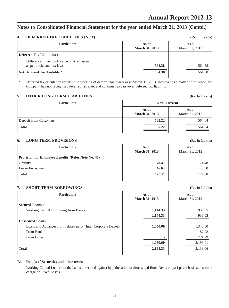## **4. DEFERRED TAX LIABILITIES (NET) (Rs. in Lakhs)**

| <b>Particulars</b>                                                        | As at<br><b>March 31, 2013</b> | As at<br>March 31, 2012 |
|---------------------------------------------------------------------------|--------------------------------|-------------------------|
| <b>Deferred Tax Liabilities:</b>                                          |                                |                         |
| Difference in net book value of fixed assets<br>as per books and tax laws | 564.38                         | 564.38                  |
| Net Deferred Tax Liability *                                              | 564.38                         | 564.38                  |

Deferred tax calculation results in to working of deferred tax assets as at March 31, 2013. However as a matter of prudence, the Company has not recognised deferred tax asset and continues to carryover deferred tax liability.

### **5. OTHER LONG TERM LIABILITIES (Rs. In Lakhs)**

| <b>Particulars</b>     | <b>Non-Current</b>                                 |        |  |
|------------------------|----------------------------------------------------|--------|--|
|                        | As at<br>As at<br>March 31, 2013<br>March 31, 2012 |        |  |
| Deposit from Customers | 565.22                                             | 564.64 |  |
| <b>Total</b>           | 565.22                                             | 564.64 |  |

#### **6. LONG TERM PROVISIONS (Rs. in Lakhs)**

| <b>Particulars</b>                                         | As at<br>March 31, 2013 | As at<br>March 31, 2012 |
|------------------------------------------------------------|-------------------------|-------------------------|
| <b>Provision for Employee Benefits (Refer Note No. 40)</b> |                         |                         |
| Gratuity                                                   | 78.47                   | 74.48                   |
| Leave Encashment                                           | 46.64                   | 48.50                   |
| <b>Total</b>                                               | 125.11                  | 122.98                  |

#### **7. SHORT TERM BORROWINGS (Rs. in Lakhs)**

| <b>Particulars</b>                                              | As at<br><b>March 31, 2013</b> | As at<br>March 31, 2012 |
|-----------------------------------------------------------------|--------------------------------|-------------------------|
| <b>Secured Loans:</b>                                           |                                |                         |
| Working Capital Borrowing from Banks                            | 1,144.33                       | 939.05                  |
|                                                                 | 1,144.33                       | 939.05                  |
| <b>Unsecured Loans:</b>                                         |                                |                         |
| Loans and Advances from related party (Inter Corporate Deposit) | 1,050.00                       | 1,340.00                |
| From Bank                                                       | ۰                              | 87.22                   |
| From Other                                                      | ۰                              | 771.79                  |
|                                                                 | 1,050.00                       | 2,199.01                |
| <b>Total</b>                                                    | 2,194.33                       | 3,138.06                |

#### **7.1 Details of Securities and other terms**

Working Capital Loan from the banks is secured against hypothecation of Stocks and Book Debts on pari-passu basis and second charge on Fixed Assets.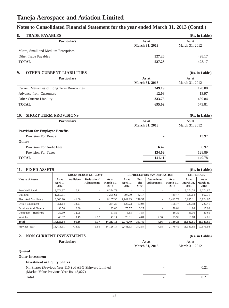## **Notes to Consolidated Financial Statement for the year ended March 31, 2013 (Contd.)**

#### **8. TRADE PAYABLES (Rs. in Lakhs)**

| <b>Particulars</b>                  | As at<br><b>March 31, 2013</b> | As at<br>March 31, 2012  |
|-------------------------------------|--------------------------------|--------------------------|
| Micro, Small and Medium Enterprises | ۰                              | $\overline{\phantom{0}}$ |
| Other Trade Payables                | 527.26                         | 428.17                   |
| TOTAL                               | 527.26                         | 428.17                   |

#### **9. OTHER CURRENT LIABILITIES (Rs. in Lakhs)**

| <b>Particulars</b>                         | As at<br><b>March 31, 2013</b> | As at<br>March 31, 2012 |
|--------------------------------------------|--------------------------------|-------------------------|
| Current Maturities of Long Term Borrowings | 349.19                         | 120.00                  |
| <b>Advance from Customers</b>              | 12.08                          | 13.97                   |
| Other Current Liability                    | 333.75                         | 439.84                  |
| <b>TOTAL</b>                               | 695.02                         | 573.81                  |

#### **10. SHORT TERM PROVISIONS (Rs. in Lakhs)**

| <b>Particulars</b>                     | As at<br>March 31, 2013 | As at<br>March 31, 2012 |
|----------------------------------------|-------------------------|-------------------------|
| <b>Provision for Employee Benefits</b> |                         |                         |
| <b>Provision For Bonus</b>             | ۰                       | 13.97                   |
| <b>Others</b>                          |                         |                         |
| Provision For Audit Fees               | 6.42                    | 6.92                    |
| <b>Provision For Taxes</b>             | 134.69                  | 128.89                  |
| <b>TOTAL</b>                           | 141.11                  | 149.78                  |

#### **11. FIXED ASSETS (Rs. in Lakhs)**

**GROSS BLOCK (AT COST)** DEPRECIATION /AMORTISATION NET BLOCK Nature of Assets **As at Additions | Deductions/ | As at** | As at | For | Deductions/ | As at | As at | As at **April 1, Adjustments March 31, April 1, The Adjustments March 31, March 31, March 31, 2012 2013 2012 Year 2013 2013 2012** Free Hold Land 6,274.67 0.11 - 6,274.78 - - - - 6,274.78 6,274.67 Building 1,259.61 - - 1,259.61 397.30 42.17 - 439.47 820.14 862.31 Plant And Machinery 6,066.90 41.00 - 6,107.90 2,142.23 270.57 - 2,412.79 3,695.11 3,924.67 Office Equipment 351.14 33.21 - 384.35 123.73 33.04 - 156.77 227.58 227.41 Furniture And Fixture 93.50 0.30 - 93.80 75.57 3.27 - 78.84 14.96 17.93 Computer – Hardware | 39.50 | 12.05 | 51.55 8.85 7.54 | 16.39 35.16 30.65 Vehicles 40.82 9.49 9.17 41.14 28.81 4.81 7.66 25.96 15.18 12.01 **Total 14,126.14 96.16 9.17 14,213.13 2,776.49 361.40 7.66 3,130.23 11,082.91 11,349.65** Previous Year 13,418.51 714.53 6.90 14,126.14 2,441.53 342.54 7.58 2,776.49 11,349.65 10,976.98

#### **12. NON CURRENT INVESTMENTS (Rs. in Lakhs)**

| <b>Particulars</b>                                     | As at                 | As at          |
|--------------------------------------------------------|-----------------------|----------------|
|                                                        | <b>March 31, 2013</b> | March 31, 2012 |
| <b>Ouoted</b>                                          |                       |                |
| <b>Other Investment</b>                                |                       |                |
| <b>Investment in Equity Shares</b>                     |                       |                |
| Nil Shares (Previous Year 115) of ABG Shipyard Limited | ۰                     | 0.21           |
| (Market Value Previous Year Rs. 43,827)                |                       |                |
| <b>Total</b>                                           | -                     | 0.21           |
|                                                        |                       |                |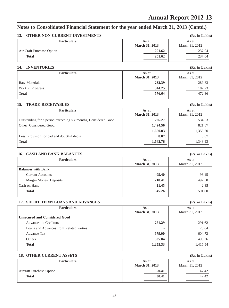## **13. OTHER NON CURRENT INVESTMENTS (Rs. in Lakhs)**

| <b>Particulars</b>        | As at<br><b>March 31, 2013</b> | As at<br>March 31, 2012 |
|---------------------------|--------------------------------|-------------------------|
| Air Craft Purchase Option | 201.62                         | 237.04                  |
| <b>Total</b>              | 201.62                         | 237.04                  |

### **14. INVENTORIES (Rs. in Lakhs)**

| <b>Particulars</b> | As at<br>March 31, 2013 | As at<br>March 31, 2012 |
|--------------------|-------------------------|-------------------------|
| Raw Materials      | 232.39                  | 289.63                  |
| Work in Progress   | 344.25                  | 182.73                  |
| <b>Total</b>       | 576.64                  | 472.36                  |

#### **15. TRADE RECEIVABLES (Rs. in Lakhs)**

| <b>Particulars</b>                                             | As at          | As at          |
|----------------------------------------------------------------|----------------|----------------|
|                                                                | March 31, 2013 | March 31, 2012 |
| Outstanding for a period exceeding six months, Considered Good | 226.27         | 534.63         |
| Other Considered Good                                          | 1,424.56       | 821.67         |
|                                                                | 1,650.83       | 1,356.30       |
| Less: Provision for bad and doubtful debts                     | 8.07           | 8.07           |
| <b>Total</b>                                                   | 1,642.76       | 1,348.23       |
|                                                                |                |                |

#### **16. CASH AND BANK BALANCES (Rs. in Lakhs)**

| <b>Particulars</b>        | As at<br><b>March 31, 2013</b> | As at<br>March 31, 2012 |
|---------------------------|--------------------------------|-------------------------|
| <b>Balances with Bank</b> |                                |                         |
| <b>Current Accounts</b>   | 405.40                         | 96.15                   |
| Margin Money Deposits     | 218.41                         | 492.50                  |
| Cash on Hand              | 21.45                          | 2.35                    |
| <b>Total</b>              | 645.26                         | 591.00                  |

#### **17. SHORT TERM LOANS AND ADVANCES (Rs. in Lakhs)**

| <b>Particulars</b>                      | As at                 | As at          |
|-----------------------------------------|-----------------------|----------------|
|                                         | <b>March 31, 2013</b> | March 31, 2012 |
| <b>Unsecured and Considered Good</b>    |                       |                |
| <b>Advances to Creditors</b>            | 271.29                | 291.62         |
| Loans and Advances from Related Parties | ۰                     | 28.84          |
| Advance Tax                             | 679.00                | 604.72         |
| <b>Others</b>                           | 305.04                | 490.36         |
| <b>Total</b>                            | 1,255.33              | 1,415.54       |
|                                         |                       |                |

#### **18. OTHER CURRENT ASSETS (Rs. in Lakhs)**

| <b>Particulars</b>       | As at                 | As at          |
|--------------------------|-----------------------|----------------|
|                          | <b>March 31, 2013</b> | March 31, 2012 |
| Aircraft Purchase Option | 50.41                 | 47.42          |
| <b>Total</b>             | 50.41                 | 47.42          |
|                          |                       |                |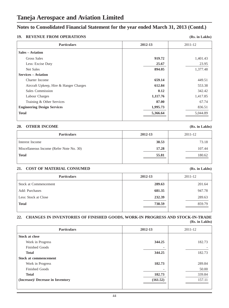## **Notes to Consolidated Financial Statement for the year ended March 31, 2013 (Contd.)**

#### **19. REVENUE FROM OPERATIONS (Rs. in Lakhs)**

| <b>Particulars</b>                     | 2012-13  | 2011-12  |
|----------------------------------------|----------|----------|
| <b>Sales – Aviation</b>                |          |          |
| Gross Sales                            | 919.72   | 1,401.43 |
| Less: Excise Duty                      | 25.67    | 23.95    |
| Net Sales                              | 894.05   | 1,377.48 |
| <b>Services – Aviation</b>             |          |          |
| Charter Income                         | 659.14   | 449.51   |
| Aircraft Upkeep, Hire & Hanger Charges | 612.84   | 553.38   |
| Sales Commission                       | 0.12     | 342.42   |
| Labour Charges                         | 1,117.76 | 1,417.85 |
| Training & Other Services              | 87.00    | 67.74    |
| <b>Engineering Design Services</b>     | 1,995.73 | 836.51   |
| <b>Total</b>                           | 5,366.64 | 5,044.89 |

#### **20. OTHER INCOME (Rs. in Lakhs)**

| <b>Particulars</b>                       | 2012-13 | 2011-12 |
|------------------------------------------|---------|---------|
| Interest Income                          | 38.53   | 73.18   |
| Miscellaneous Income (Refer Note No. 30) | 17.28   | 107.44  |
| <b>Total</b>                             | 55.81   | 180.62  |

#### **21. COST OF MATERIAL CONSUMED (Rs. in Lakhs)**

| <b>Particulars</b>    | 2012-13 | 2011-12 |
|-----------------------|---------|---------|
| Stock at Commencement | 289.63  | 201.64  |
| Add: Purchases        | 681.35  | 947.78  |
| Less: Stock at Close  | 232.39  | 289.63  |
| <b>Total</b>          | 738.59  | 859.79  |
|                       |         |         |

#### **22. CHANGES IN INVENTORIES OF FINISHED GOODS, WORK-IN PROGRESS AND STOCK-IN-TRADE (Rs. in Lakhs)**

| <b>Particulars</b>                | 2012-13  | 2011-12 |
|-----------------------------------|----------|---------|
| <b>Stock at close</b>             |          |         |
| Work in Progress                  | 344.25   | 182.73  |
| <b>Finished Goods</b>             | ۰        |         |
| <b>Total</b>                      | 344.25   | 182.73  |
| <b>Stock at commencement</b>      |          |         |
| Work in Progress                  | 182.73   | 289.84  |
| <b>Finished Goods</b>             | ۰        | 50.00   |
| <b>Total</b>                      | 182.73   | 339.84  |
| (Increase)/ Decrease in Inventory | (161.52) | 157.11  |
|                                   |          |         |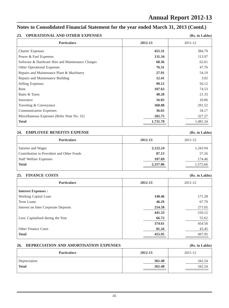### **23. OPERATIONAL AND OTHER EXPENSES**

|  |  |  | (Rs. in Lakhs) |
|--|--|--|----------------|
|--|--|--|----------------|

| <b>Particulars</b>                               | 2012-13  | 2011-12  |
|--------------------------------------------------|----------|----------|
| <b>Charter Expenses</b>                          | 455.31   | 384.79   |
| Power & Fuel Expenses                            | 131.34   | 113.97   |
| Software & Hardware Hire and Maintenance Charges | 68.36    | 62.61    |
| Other Operational Expenses                       | 76.31    | 47.76    |
| Repairs and Maintenance Plant & Machinery        | 27.91    | 54.19    |
| Repairs and Maintenance Building                 | 12.41    | 3.02     |
| Selling Expenses                                 | 99.12    | 56.12    |
| Rent                                             | 107.63   | 74.53    |
| Rates & Taxes                                    | 48.28    | 21.33    |
| Insurance                                        | 16.83    | 10.06    |
| Traveling & Conveyance                           | 368.88   | 291.52   |
| <b>Communication Expenses</b>                    | 36.65    | 34.17    |
| Miscellaneous Expenses (Refer Note No. 31)       | 282.75   | 327.27   |
| <b>Total</b>                                     | 1,731.78 | 1,481.34 |

#### **24. EMPLOYEE BENEFITS EXPENSE (Rs. in Lakhs)**

| <b>Particulars</b>                        | 2012-13  | 2011-12  |
|-------------------------------------------|----------|----------|
| Salaries and Wages                        | 2,122.24 | 1,343.94 |
| Contribution to Provident and Other Funds | 87.13    | 57.26    |
| <b>Staff Welfare Expenses</b>             | 107.69   | 174.46   |
| <b>Total</b>                              | 2,317.06 | 1,575.66 |

#### **25. FINANCE COSTS (Rs. in Lakhs)**

| <b>Particulars</b>                   | 2012-13 | 2011-12 |
|--------------------------------------|---------|---------|
| <b>Interest Expenses:</b>            |         |         |
| Working Capital Loan                 | 140.46  | 171.28  |
| Term Loans                           | 46.29   | 67.79   |
| Interest on Inter Corporate Deposits | 254.58  | 271.05  |
|                                      | 441.33  | 510.12  |
| Less: Capitalised during the Year    | 66.72   | 55.62   |
|                                      | 374.61  | 454.50  |
| <b>Other Finance Costs</b>           | 81.34   | 43.45   |
| <b>Total</b>                         | 455.95  | 497.95  |

#### **26. DEPRECIATION AND AMORTISATION EXPENSES (Rs. in Lakhs)**

| <b>Particulars</b> | 2012-13 | 2011-12 |
|--------------------|---------|---------|
| Depreciation       | 361.40  | 342.54  |
| <b>Total</b>       | 361.40  | 342.54  |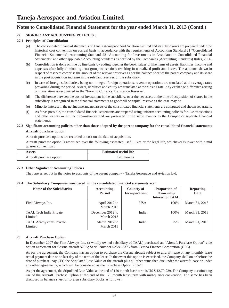#### **27. SIGNIFICANT ACCOUNTING POLICIES :**

#### **27.1 Principles of Consolidation**

- (a) The consolidated financial statements of Taneja Aerospace And Aviation Limited and its subsidiaries are prepared under the historical cost convention on accrual basis in accordance with the requirements of Accounting Standard 21 "Consolidated Financial Statements", Accounting Standard 23 "Accounting for Investments in Associates in Consolidated Financial Statements" and other applicable Accounting Standards as notified by the Companies (Accounting Standards) Rules, 2006.
- (b) Consolidation is done on line by line basis by adding together the book values of like items of assets, liabilities, income and expenses after fully eliminating intra-group transactions resulting in unrealized profit and losses. The amounts shown in respect of reserves comprise the amount of the relevant reserves as per the balance sheet of the parent company and its share in the post acquisition increase in the relevant reserves of the subsidiary.
- (c) In case of foreign subsidiaries, being non-integral foreign operations, revenue operations are translated at the average rates prevailing during the period. Assets, liabilities and equity are translated at the closing rate. Any exchange difference arising on translation is recognized in the "Foreign Currency Translation Reserve".
- (d) The difference between the cost of investment in the subsidiary, over the net assets at the time of acquisition of shares in the subsidiary is recognized in the financial statements as goodwill or capital reserve as the case may be.
- (e) Minority interest in the net income and net assets of the consolidated financial statements are computed and shown separately.
- (f) As far as possible, the consolidated financial statements are prepared using uniform accounting policies for like transactions and other events in similar circumstances and are presented in the same manner as the Company's separate financial statements.

#### **27.2 Significant accounting policies other than those adopted by the parent company for the consolidated financial statements Aircraft purchase option**

Aircraft purchase options are recorded at cost on the date of acquisition.

Aircraft purchase option is amortized over the following estimated useful lives or the legal life, whichever is lower with a mid quarter convention :

| Assets                   | <b>Estimated useful life</b> |
|--------------------------|------------------------------|
| Aircraft purchase option | 120 months                   |

#### **27.3 Other Significant Accounting Policies**

They are as set out in the notes to accounts of the parent company - Taneja Aerospace and Aviation Ltd.

#### **27.4 The Subsidiary Companies considered in the consolidated financial statements are :**

| Name of the Subsidiaries                   | Accounting<br><b>Period</b>    | Country of<br>Incorporation | Proportion of<br>Ownership<br><b>Interest of TAAL</b> | <b>Reporting</b><br>Date |
|--------------------------------------------|--------------------------------|-----------------------------|-------------------------------------------------------|--------------------------|
| First Airways Inc.                         | April 2012 to<br>March 2013    | <b>USA</b>                  | 100%                                                  | March 31, 2013           |
| TAAL Tech India Private<br>Limited         | December 2012 to<br>March 2013 | India                       | 100%                                                  | March 31, 2013           |
| <b>TAAL Aerosystems Private</b><br>Limited | March 2012 to<br>March 2013    | India                       | 75%                                                   | March 31, 2013           |

#### **28. Aircraft Purchase Option**

In December 2007 the First Airways Inc. (a wholly owned subsidiary of TAAL) purchased an "Aircraft Purchase Option" vide option agreement for Cessna aircraft 525A; Serial Number 525A -0373 from Cessna Finance Corporation (CFC).

As per the agreement, the Company has an option to purchase the Cessna aircraft subject to aircraft lease on any monthly lease rental payment date or on last day of the term of the lease. In the event this option is exercised, the Company shall on or before the date of purchase, pay CFC the Stipulated Loss Value of the aircraft plus all other sums then due under the aircraft lease or under any other agreements, which will be considered as the "Purchase Option Price".

As per the agreement, the Stipulated Loss Value at the end of 120 month lease term is US \$ 12,79,929. The Company is estimating use of the Aircraft Purchase Option at the end of the 120 month lease term with mid-quarter convention. The same has been disclosed in balance sheet of foreign subsidiary books as follows :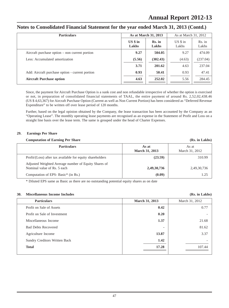| <b>Particulars</b>                              |                    | As at March 31, 2013 | As at March 31, 2012 |                   |
|-------------------------------------------------|--------------------|----------------------|----------------------|-------------------|
|                                                 | $US \sin$<br>Lakhs | Rs. in<br>Lakhs      | $US \sin$<br>Lakhs   | $Rs.$ in<br>Lakhs |
| Aircraft purchase option – non current portion  | 9.27               | 504.05               | 9.27                 | 474.09            |
| Less: Accumulated amortization                  | (5.56)             | (302.43)             | (4.63)               | (237.04)          |
|                                                 | 3.71               | 201.62               | 4.63                 | 237.04            |
| Add: Aircraft purchase option - current portion | 0.93               | 50.41                | 0.93                 | 47.41             |
| <b>Aircraft Purchase option</b>                 | 4.63               | 252.02               | 5.56                 | 284.45            |

Since, the payment for Aircraft Purchase Option is a sunk cost and non refundable irrespective of whether the option is exercised or not, in preparation of consolidated financial statements of TAAL, the entire payment of around Rs. 2,52,02,438.46 (US \$ 4,63,367) for Aircraft Purchase Option (Current as well as Non Current Portion) has been considered as "Deferred Revenue Expenditure" to be written off over lease period of 120 months.

Further, based on the legal opinion obtained by the Company, the lease transaction has been accounted by the Company as an "Operating Lease". The monthly operating lease payments are recognised as an expense in the Statement of Profit and Loss on a straight line basis over the lease term. The same is grouped under the head of Charter Expenses.

### **29. Earnings Per Share**

#### **Computation of Earning Per Share (Rs. in Lakhs)**

| <b>Particulars</b>                                                                  | As at<br><b>March 31, 2013</b> | As at<br>March 31, 2012 |
|-------------------------------------------------------------------------------------|--------------------------------|-------------------------|
| Profit/(Loss) after tax available for equity shareholders                           | (23.59)                        | 310.99                  |
| Adjusted Weighted Average number of Equity Shares of<br>Nominal value of Rs. 5 each | 2,49,30,736                    | 2,49,30,736             |
| Computation of EPS- Basic <sup>*</sup> (in Rs.)                                     | (0.09)                         | 1.25                    |

\* Diluted EPS same as Basic as there are no outstanding potential equity shares as on date

#### **30. Miscellaneous Income Includes (Rs. in Lakhs)**

| <b>Particulars</b>            | March 31, 2013 | March 31, 2012 |
|-------------------------------|----------------|----------------|
| Profit on Sale of Assets      | 0.42           | 0.77           |
| Profit on Sale of Investment  | 0.20           |                |
| Miscellaneous Income          | 1.37           | 21.68          |
| <b>Bad Debts Recovered</b>    | ۰              | 81.62          |
| Agriculture Income            | 13.87          | 3.37           |
| Sundry Creditors Written Back | 1.42           |                |
| <b>Total</b>                  | 17.28          | 107.44         |
|                               |                |                |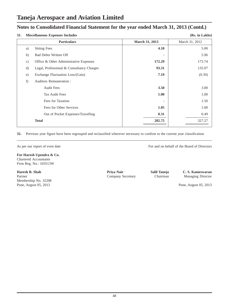## **Notes to Consolidated Financial Statement for the year ended March 31, 2013 (Contd.)**

| 31. |           | <b>Miscellaneous Expenses Includes</b>    |                | (Rs. in Lakhs) |
|-----|-----------|-------------------------------------------|----------------|----------------|
|     |           | <b>Particulars</b>                        | March 31, 2013 | March 31, 2012 |
|     | a)        | <b>Sitting Fees</b>                       | 4.10           | 5.00           |
|     | b)        | <b>Bad Debts Written Off</b>              |                | 5.96           |
|     | $\circ$ ) | Office & Other Administrative Expenses    | 172.29         | 173.74         |
|     | $\rm d$   | Legal, Professional & Consultancy Charges | 93.31          | 135.97         |
|     | e)        | Exchange Fluctuation Loss/(Gain)          | 7.19           | (0.39)         |
|     | f)        | <b>Auditors Remuneration:</b>             |                |                |
|     |           | <b>Audit Fees</b>                         | 3.50           | 3.00           |
|     |           | <b>Tax Audit Fees</b>                     | 1.00           | 1.00           |
|     |           | Fees for Taxation                         |                | 1.50           |
|     |           | Fees for Other Services                   | 1.05           | 1.00           |
|     |           | Out of Pocket Expenses/Travelling         | 0.31           | 0.49           |
|     |           | <b>Total</b>                              | 282.75         | 327.27         |

**32.** Previous year figure have been regrouped and reclassified wherever necessary to confirm to the current year classification

As per our report of even date For and on behalf of the Board of Directors

**For Haresh Upendra & Co.** Chartered Accountants Firm Reg. No.: 103513W

**Haresh B. Shah Priya Nair Salil Taneja C. S. Kameswaran** Partner Company Secretary Chairman Managing Director Membership No. 32208 Pune, August 05, 2013 Pune, August 05, 2013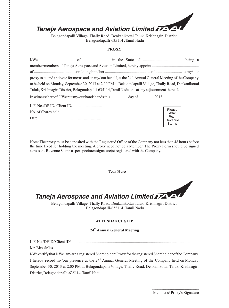Belagondapalli Village, Thally Road, Denkanikottai Taluk, Krishnagiri District, Belagondapalli-635114 ,Tamil Nadu

#### **PROXY**

| proxy to attend and vote for me/us and on my/ our behalf, at the 24 <sup>th</sup> Annual General Meeting of the Company |  |  |  |  |
|-------------------------------------------------------------------------------------------------------------------------|--|--|--|--|
| to be held on Monday, September 30, 2013 at 2.00 PM at Belagondapalli Village, Thally Road, Denkanikottai               |  |  |  |  |
| Taluk, Krishnagiri District, Belagondapalli-635114, Tamil Nadu and at any adjournment thereof.                          |  |  |  |  |
| In witness thereof I/We put my/our hand/hands this day of 2013.                                                         |  |  |  |  |

| Please  |  |
|---------|--|
| Affix   |  |
| Re 1    |  |
| Revenue |  |
| Stamp   |  |
|         |  |

Note: The proxy must be deposited with the Registered Office of the Company not less than 48 hours before the time fixed for holding the meeting. A proxy need not be a Member. The Proxy Form should be signed across the Revenue Stamp as per specimen signature(s) registered with the Company.

-------------------------------------------------------------------Tear Here----------------------------------------------------------------------

# *Taneja Aerospace and Aviation Limited*

Belagondapalli Village, Thally Road, Denkanikottai Taluk, Krishnagiri District, Belagondapalli-635114 ,Tamil Nadu

#### **ATTENDANCE SLIP**

#### **th 24 Annual General Meeting**

L.F. No./DPID/ Client ID/ .........................................................................................................................

Mr./Mrs./Miss........................................................................................................................................... I/We certify that I/ We am/are a registered Shareholder/ Proxy for the registered Shareholder of the Company.

I hereby record my/our presence at the  $24<sup>th</sup>$  Annual General Meeting of the Company held on Monday, September 30, 2013 at 2.00 PM at Belagondapalli Village, Thally Road, Denkanikottai Taluk, Krishnagiri District, Belagondapalli-635114, Tamil Nadu.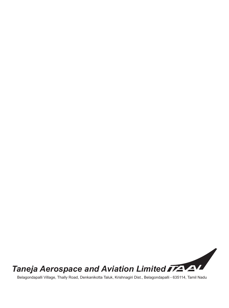

Belagondapalli Village, Thally Road, Denkanikotta Taluk, Krishnagiri Dist., Belagondapalli - 635114, Tamil Nadu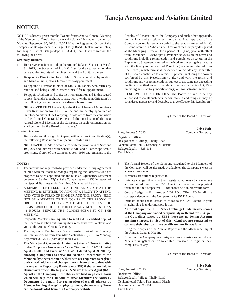## **NOTICE**

NOTICE is hereby given that the Twenty-fourth Annual General Meeting of the Members of Taneja Aerospace and Aviation Limited will be held on Monday, September 30, 2013 at 2.00 PM at the Registered Office of the Company at Belagondapalli Village, Thally Road, Denkanikottai Taluk, Krishnagiri District, Belagondapalli - 635114, Tamil Nadu to transact the following business:

#### **Ordinary Business :**

- 1. To receive, consider and adopt the Audited Balance Sheet as at March 31, 2013, the Statement of Profit & Loss for the year ended on that date and the Reports of the Directors and the Auditors thereon.
- 2. To appoint a Director in place of Mr. R. Surie, who retires by rotation and being eligible, offers himself for re-appointment.
- 3. To appoint a Director in place of Mr. B. R. Taneja, who retires by rotation and being eligible, offers himself for re-appointment.
- 4. To appoint Auditors and to fix their remuneration and in this regard to consider and if thought fit, to pass, with or without modification(s), the following resolution as an **Ordinary Resolution :**

"**RESOLVED THAT** Haresh Upendra & Co., Chartered Accountants (Firm Registration No. 103513W) be and are hereby appointed as Statutory Auditors of the Company, to hold office from the conclusion of this Annual General Meeting until the conclusion of the next Annual General Meeting of the Company, on such remuneration, as shall be fixed by the Board of Directors."

#### **Special Business :**

5. To consider and if thought fit, to pass, with or without modification(s), the following Resolution as a **Special Resolution :**

"**RESOLVED THAT** in accordance with the provisions of Sections 198, 269 and 309 read with Schedule XIII and all other applicable provisions, if any, of the Companies Act, 1956 and pursuant to the

#### **NOTES:**

- 1. The information required to be provided under the Listing Agreement entered with the Stock Exchanges, regarding the Directors who are proposed to be re-appointed and the relative Explanatory Statement pursuant to Section 173(2) of the Companies Act, 1956 in respect of the Special Business under Item No. 5 is annexed hereto.
- 2. A MEMBER ENTITLED TO ATTEND AND VOTE AT THE MEETING IS ENTITLED TO APPOINT A PROXY TO ATTEND AND VOTE INSTEAD OF HIM/HER AND THE PROXY NEED NOT BE A MEMBER OF THE COMPANY. THE PROXY, IN ORDER TO BE EFFECTIVE, MUST BE DEPOSITED AT THE REGISTERED OFFICE OF THE COMPANY NOT LESS THAN 48 HOURS BEFORE THE COMMENCEMENT OF THE MEETING.
- 3. Corporate Members are requested to send a duly certified copy of the Board Resolution authorizing their representatives to attend and vote at the Annual General Meeting.
- 4. The Register of Members and Share Transfer Book of the Company will remain closed from Thursday, September 26, 2013 to Monday, September 30, 2013 (both days inclusive).
- 5. **The Ministry of Corporate Affairs has taken a "Green initiative in the Corporate Governance" vide Circular No. 17/2011 dated April 21, 2011 and Circular No. 18/2011 dated April 29, 2011 by allowing Companies to serve the Notice / Documents to the Members by electronic mode. Members are requested to register their e-mail address and changes therein from time to time with the respective Depository Participants (DP) if shares are held in Demat form or with the Registrar & Share Transfer Agent (R&T Agent) of the Company if the shares are held in physical form which will help the Company to serve Members the Notices / Documents by e-mail. For registration of e-mail address by Member holding share(s) in physical form, the necessary Form can be downloaded from the Company's website.**

Articles of Association of the Company and such other approvals, permissions and sanctions as may be required, approval of the Company be and is hereby accorded to the re-appointment of Mr. C. S. Kameswaran as a Whole Time Director of the Company designated as the Managing Director, for a period of 1 (One) year with effect from December 01, 2012 upto November 30, 2013 on the terms and conditions including remuneration and perquisites as set out in the Explanatory Statement annexed to the Notice convening this meeting with the liberty to the Board of Directors (hereinafter referred to as 'the Board', which term shall be deemed to include any Committee of the Board constituted to exercise its powers, including the powers conferred by this Resolution) to alter and vary the terms and conditions and / or remunerations, subject to the same not exceeding the limits specified under Schedule XIII to the Companies Act, 1956 including any statutory modification(s) or re-enactment thereof.

**RESOLVED FURTHER THAT** the Board be and is hereby authorised to do all such acts, deeds, matters and things as may be considered necessary and desirable to give effect to this Resolution."

By Order of the Board of Directors

**Priya Nair**

Pune, August 5, 2013 Company Secretary Registered Office: Belagondapalli Village, Thally Road Denkanikottai Taluk, Krishnagiri District Belagondapalli – 635 114 Tamil Nadu

- 6. The Annual Report of the Company circulated to the Members of the Company, will be also made available on the Company's website at **www.taal.co.in.**
- 7. Members are further requested to :
- Intimate changes, if any, in their registered address / bank mandate and e-mail address to the R&T Agent for shares held in physical form and to their respective DP for shares held in electronic form.
- Quote Ledger folio number / DP ID / Client ID in all the correspondence with the Company or its R&T Agent.
- Intimate about consolidation of folios to the R&T Agent, if your shareholding is under multiple folios.
- **Note that as per the SEBI / Stock Exchange Guidelines the shares of the Company are traded compulsorily in Demat form. As per the Guidelines issued by SEBI there are no Demat Account opening charges. In view of this, Members are requested to convert their physical share certificate into Demat form.**
- Bring their copies of the Annual Report and the Attendance Slip at the Annual General Meeting.
- Note that the Company has designated an exclusive e-mail id viz. "**secretarial@taal.co.in**" to enable investors to register their complaints, if any.

By Order of the Board of Directors

**Priya Nair**

Pune, August 5, 2013 Company Secretary Registered Office: Belagondapalli Village, Thally Road Denkanikottai Taluk, Krishnagiri District Belagondapalli – 635 114 Tamil Nadu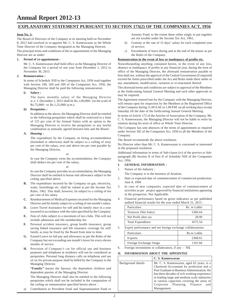## **Annual Report 2012-13**

#### **EXPLANATORY STATEMENT PURSUANT TO SECTION 173(2) OF THE COMPANIES ACT, 1956**

#### **Item No. 5:**

The Board of Directors of the Company at its meeting held on November 8, 2012 had resolved to re-appoint Mr. C. S. Kameswaran as the Whole Time Director of the Company designated as the Managing Director.

The principal terms and conditions of the re-appointment of the Managing Director are as under:

#### **1. Period of re-appointment :**

Mr. C. S. Kameswaran shall hold office as the Managing Director of the Company for a period of one year from December 1, 2012 to November 30, 2013.

#### **2. Remuneration :**

In terms of Schedule XIII to the Companies Act, 1956 read together with Section 198, 269 and 309 of the Companies Act, 1956, the Managing Director shall be paid the following remuneration:

#### **i) Salary :**

The basic monthly salary of the Managing Director w. e. f. December 1, 2012 shall be Rs.1,00,000/- (in the scale of Rs.75,000/- to Rs.1,25,000/-p.m.).

#### **ii) Perquisites :**

In addition to the above, the Managing Director shall be entitled to the following perquisites which shall be restricted to a limit of 125 per cent of his Annual Salary with an option to the Managing Director to receive the perquisites in any lawful combination as mutually agreed between him and the Board :

#### **A. Housing :**

The expenditure by the Company on hiring accommodation (furnished or otherwise) shall be subject to a ceiling of sixty per cent of the salary, over and above ten per cent payable by the Managing Director,

or

In case the Company owns the accommodation, the Company shall deduct ten per cent of the salary,

or

In case the Company provides no accommodation, the Managing Director shall be entitled to house rent allowance subject to the ceiling specified above.

- **B.** The expenditure incurred by the Company on gas, electricity, water, furnishings etc. shall be valued as per the Income Tax Rules, 1962. This shall, however, be subject to a ceiling of ten per cent of his salary.
- **C.** Reimbursement of Medical Expenses incurred for the Managing Director and his family subject to a ceiling of one month's salary.
- **D.** Leave Travel Assistance for self and his family once in a year incurred in accordance with the rules specified by the Company.
- **E.** Fees of clubs subject to a maximum of two clubs. This will not include admission and life membership fee.
- **F.** Personal accident insurance, group health insurance, group saving linked insurance and life insurance coverage for self/ family as may be fixed by the Board from time to time.
- **G.** Earned Leave on full pay and allowance as per the Rules of the Company but not exceeding one month's leave for every eleven months of service.
- **H.** Provision of Company's car for official use and business purposes and telephone at residence will not be considered as perquisites. Personal long distance calls on telephone and use of car for private purpose shall be billed by the Company to the Managing Director.

**"Family"** means the Spouse, the dependent children and dependent parents of the Managing Director.

The Managing Director shall also be entitled to the following perquisites which shall not be included in the computation of the ceiling on remuneration specified herein above :

a) Contribution to Provident Fund and Superannuation Fund or

Annuity Fund, to the extent these either singly or put together are not taxable under the Income Tax Act, 1961;

- b) Gratuity at the rate of 15 days' salary for each completed year of service;
- Encashment of leave during and at the end of the tenure as per the Rules of the Company.

#### **Remuneration in the event of loss or inadequacy of profits etc.**

Notwithstanding anything contained herein, in the event of any loss, absence or inadequacy of profits in any financial year, during the term of office of the Managing Director, the aforesaid remuneration payable to him shall not, without the approval of the Central Government (if required) exceed the limits prescribed under the Act and Rules made there under or any amendment, modification, variation or re-enactment thereof.

The aforesaid terms and conditions are subject to approval of the Members at the forthcoming Annual General Meeting and such other approvals as may be required.

The Agreement entered into by the Company with the Managing Director, will remain open for inspection by the Members at the Registered Office of the Company during 11.00 A.M. to 1.00 P.M. on all working days except Saturday till the date of the forthcoming Annual General Meeting.

In terms of Article 172 of the Articles of Association of the Company, Mr. C. S. Kameswaran, the Managing Director will not be liable to retire by rotation during his term of office as Whole Time Director.

The Company has sent abstracts of the terms of appointment as required under Section 302 of the Companies Act, 1956 to all the Members of the Company.

The Board recommends the above resolution.

No Director other than Mr. C. S. Kameswaran is concerned or interested in the proposed resolution.

Additional information in terms of Sub-clause (iv) of the proviso to Subparagraph (B) Section II of Part II of Schedule XIII of the Companies Act, 1956.

#### **I. GENERAL INFORMATION :**

1. Nature of the Industry :

The Company is in the business of Aviation.

- 2. Date or expected date of commencement of commercial production: June 8, 1994
- In case of new companies, expected date of commencement of activities as per project approved by financial institutions appearing in the prospectus: Not Applicable.
- 4. Financial performance based on given indicators as per published audited financial results for the year ended March 31, 2013 :

| Particulars          | Rs. in Lakhs |
|----------------------|--------------|
| Turnover (Net Sales) | 5366.64      |
| Net Profit after tax | 28.99        |
| Total Expenditure    | 4575.54      |

5. Export performance and net foreign exchange collaborations:

| <b>Particulars</b>     | Rs.in Lakhs |
|------------------------|-------------|
| Exports                | 2368.61     |
| Foreign Exchange Outgo | 1101.84     |

6. Foreign investments or collaborators, if any – NIL

#### **II. INFORMATION ABOUT THE APPOINTEE**

|                    | C. S. Kameswaran                             |  |
|--------------------|----------------------------------------------|--|
| Background details | Mr. C. S. Kameswaran, aged 62 years, is a    |  |
|                    | Chartered Accountant by profession and a     |  |
|                    | Post Graduate in Business Administration. He |  |
|                    | has three decades of rich working experience |  |
|                    | in leading large and medium scale industries |  |
|                    | in various capacities covering the areas of  |  |
|                    | Corporate Planning, Finance and              |  |
|                    | Management.                                  |  |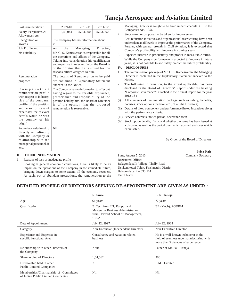| Past remuneration:                                                                                                                                                                                                                   | 2009-10                                                                                                                                                                                                                                                                     | 2010-11   | $2011 - 12$ |
|--------------------------------------------------------------------------------------------------------------------------------------------------------------------------------------------------------------------------------------|-----------------------------------------------------------------------------------------------------------------------------------------------------------------------------------------------------------------------------------------------------------------------------|-----------|-------------|
| Salary, Perquisites &<br>Allowances etc.                                                                                                                                                                                             | 16,43,044                                                                                                                                                                                                                                                                   | 25,64,000 | 25,63,992   |
| Recognition or<br>awards                                                                                                                                                                                                             | The Company has no information about<br>it.                                                                                                                                                                                                                                 |           |             |
| Job Profile and                                                                                                                                                                                                                      | the<br>As                                                                                                                                                                                                                                                                   | Managing  | Director,   |
| his suitability                                                                                                                                                                                                                      | Mr. C. S. Kameswaran is responsible for all<br>the operations and affairs of the Company.<br>Taking into consideration his qualification<br>and expertise in relevant fields, the Board is<br>of the opinion that he is suited for the<br>responsibilities assigned to him. |           |             |
| Remuneration                                                                                                                                                                                                                         | The details of Remuneration to be paid                                                                                                                                                                                                                                      |           |             |
| proposed                                                                                                                                                                                                                             | are contained in Explanatory Statement<br>annexed to the Notice.                                                                                                                                                                                                            |           |             |
| Comparative<br>remuneration profile<br>with respect to industry,<br>size of the company,<br>profile of the position<br>and person (in case of<br>expatriates the relevant<br>details would be w.r.t<br>the country of his<br>origin) | The Company has no information to offer but<br>having regard to the versatile experience,<br>performance and responsibility of the<br>position held by him, the Board of Directors<br>is of the opinion that the proposed<br>remuneration is reasonable.                    |           |             |
| Pecuniary relationship<br>directly or indirectly<br>with the Company or<br>relationship with the<br>managerial personnel, if<br>any.                                                                                                 | NII.                                                                                                                                                                                                                                                                        |           |             |

**III. OTHER INFORMATION**

1. Reasons of loss or inadequate profits.

Looking at general economic conditions, there is likely to be an impact on the operations of the Company in the immediate future, bringing down margins to some extent, till the economy recovers. As such, out of abundant precautions, the remuneration to the Managing Director is sought to be fixed under Schedule XIII to the Companies Act, 1956.

2. Steps taken or proposed to be taken for improvement.

Cost reduction initiatives and organizational restructuring have been undertaken at all levels to improve the performance of the Company. Further, with general growth in Civil Aviation, it is expected that Company's profitability will improve in coming years.

3. Expected increase in productivity and profits in measurable terms. While the Company's performance is expected to improve in future years, it is not possible to accurately predict the future profitability.

#### **IV. DISCLOSURES**

- 1. The Remuneration package of Mr. C. S. Kameswaran, the Managing Director is contained in the Explanatory Statement annexed to the Notice.
- 2. The following information, to the extent applicable, has been disclosed in the Board of Directors' Report under the heading "Corporate Governance", attached to the Annual Report for the year 2012-13 :
- (i) All elements of remuneration package such as salary, benefits, bonuses, stock options, pension etc., of all the Directors;
- (ii) Details of fixed component and performance linked incentives along with the performance criteria;
- (iii) Service contracts, notice period, severance fees;
- (iv) Stock option details, if any, and whether the same has been issued at a discount as well as the period over which accrued and over which exercisable.

By Order of the Board of Directors

**Priya Nair**

Pune, August 5, 2013 Company Secretary Registered Office: Belagondapalli Village, Thally Road Denkanikottai Taluk, Krishnagiri District Belagondapalli – 635 114 Tamil Nadu

#### **DETAILED PROFILE OF DIRECTORS SEEKING RE-APPOINTMENT ARE GIVEN AS UNDER :**

|                                                                              | R. Surie                                                                                                          | <b>B. R. Taneja</b>                                                                                                     |
|------------------------------------------------------------------------------|-------------------------------------------------------------------------------------------------------------------|-------------------------------------------------------------------------------------------------------------------------|
| Age                                                                          | 61 years                                                                                                          | 77 years                                                                                                                |
| <b>Qualification</b>                                                         | B. Tech from IIT, Kanpur and<br>Masters in Business Administration<br>from Harvard School of Management,<br>U.S.A | BE (Mech), PGDBM                                                                                                        |
| Date of Appointment                                                          | July 12, 1997                                                                                                     | July 22, 1988                                                                                                           |
| Category                                                                     | Non-Executive (Independent Director)                                                                              | Non-Executive Director                                                                                                  |
| Experience and Expertise in<br>specific functional Area                      | Consultancy and Aviation related<br>business                                                                      | He is a well-known technocrat in the<br>field of seamless tube manufacturing with<br>more than 5 decades of experience. |
| Relationship with other Directors of<br>the Company                          | None                                                                                                              | Father of Mr. Salil Taneja                                                                                              |
| Shareholding of Directors                                                    | 1,54,562                                                                                                          | 300                                                                                                                     |
| Directorship held in other<br><b>Public Limited Companies</b>                | Nil                                                                                                               | <b>ISMT</b> Limited                                                                                                     |
| Memberships/Chairmanship of Committees<br>of Indian Public Limited Companies | Nil                                                                                                               | Nil                                                                                                                     |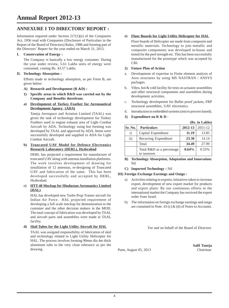### **ANNEXURE I TO DIRECTORS' REPORT :**

Information required under Section 217(1)(e) of the Companies Act, 1956 read with Companies (Disclosure of Particulars in the Report of the Board of Directors) Rules, 1988 and forming part of the Directors' Report for the year ended on March 31, 2013.

#### **I. Conservation of Energy :**

The Company is basically a low energy consumer. During the year under review, 5.61 Lakhs units of energy were consumed, costing Rs. 43.57 Lakhs.

#### **II. Technology Absorption :**

Efforts made in technology absorption, as per Form B, are given below:

- **A) Research and Development (R &D) :**
- **1) Specific areas in which R&D was carried out by the Company and Benefits therefrom:**
- **a) Development of Turkey Feather for Aeronautical Development Agency (ADA)**

Taneja Aerospace and Aviation Limited (TAAL) was given the task of technology development for Turkey Feathers used in engine exhaust area of Light Combat Aircraft by ADA. Technology using hot forming was developed by TAAL and approved by ADA. Items were successfully developed and supplied to ADA for Light Combat Aircraft.

#### **b) Truncated UAV Model for Defence Electronics Research Laboratory (DERL), Hyderabad**

DERL has projected a requirement for manufacture of truncated UAV along with antenna installation platforms. The work involves development of drawing for installation of 12 antennas, re-designing of Truncated UAV and fabrication of the same. This has been developed successfully and accepted by DERL, Hyderabad.

#### **c) HTT-40 Mockup for Hindustan Aeronautics Limited (HAL)**

HAL has developed new Turbo Prop Trainer aircraft for Indian Air Force. HAL projected requirement of developing a full scale mockup for demonstration to the customer and the other decision makers in the MOD. The total concept of fabrication was developed by TAAL and aircraft parts and assemblies were made at TAAL facility.

#### **d) Skid Tubes for the Light Utility Aircraft for HAL**

TAAL was assigned responsibility of fabrication of skid and technology related to Light Utility Helicopter for HAL. The process involves forming 90mm dia 4m thick aluminum tube to the very close tolerance as per the drawing.

#### **e) Floor Boards for Light Utility Helicopter for HAL**

Floor boards of Helicopter are made from composite and metallic materials. Technology to join metallic and composite components was developed in-house and tested for the peel strength etc. This has been successfully manufactured for the prototype which was accepted by CRI.

#### **2) Future Plan of Action**

- a. Development of expertise in Finite element analysis of Aero structures by using MS NASTRAN / ANSYS packages.
- b. Vibro, hot & cold facility for tests on actuator assemblies and other structural components and assemblies during development activities.
- c. Technology development for Bullet proof jackets, FRP structural assemblies, UAV electronics.
- d. Introduction to embedded systems (micro process based).
- **3) Expenditure on R & D** :

|              |                           |          | (Rs. in Lakhs) |
|--------------|---------------------------|----------|----------------|
| Sr. No.      | <b>Particulars</b>        | 2012-13  | 2011-12        |
| $\mathbf{i}$ | Capital Expenditure       | 11.19    | 13.85          |
| $\rm ii)$    | Recurring Expenditure     | 23.30    | 14.14          |
|              | Total                     | 34.49    | 27.99          |
|              | Total R&D as a percentage | $0.64\%$ | $0.55\%$       |
|              | to turnover               |          |                |

- **B) Technology Absorption, Adaptation and Innovation:** Nil
- **C) Imported Technology :** Nil

#### **III) Foreign Exchange Earnings and Outgo :**

- a) Activities relating to exports, initiatives taken to increase export, development of new export market for products and export plans: By our continuous efforts in the international market the Company has received the export order from Israel.
- b) The information on foreign exchange earnings and outgo are contained in Note. 43 (c) & (d) of Notes to Accounts.

For and on behalf of the Board of Directors

Pune, August 05, 2013 Chairman

**Salil Taneja**